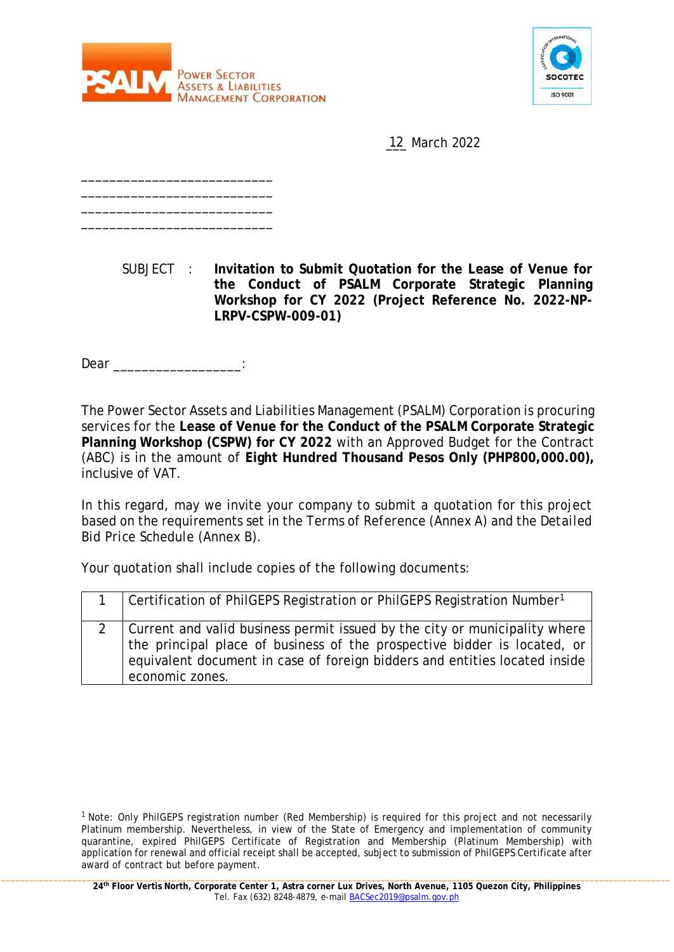



12 March 2022

SUBJECT : **Invitation to Submit Quotation for the Lease of Venue for the Conduct of PSALM Corporate Strategic Planning Workshop for CY 2022 (Project Reference No. 2022-NP-LRPV-CSPW-009-01)**

Dear **and a** 

\_\_\_\_\_\_\_\_\_\_\_\_\_\_\_\_\_\_\_\_\_\_\_\_\_\_\_ \_\_\_\_\_\_\_\_\_\_\_\_\_\_\_\_\_\_\_\_\_\_\_\_\_\_\_ \_\_\_\_\_\_\_\_\_\_\_\_\_\_\_\_\_\_\_\_\_\_\_\_\_\_\_ \_\_\_\_\_\_\_\_\_\_\_\_\_\_\_\_\_\_\_\_\_\_\_\_\_\_\_

The Power Sector Assets and Liabilities Management (PSALM) Corporation is procuring services for the **Lease of Venue for the Conduct of the PSALM Corporate Strategic Planning Workshop (CSPW) for CY 2022** with an Approved Budget for the Contract (ABC) is in the amount of **Eight Hundred Thousand Pesos Only (PHP800,000.00),** inclusive of VAT.

In this regard, may we invite your company to submit a quotation for this project based on the requirements set in the *Terms of Reference* (Annex A) and the *Detailed Bid Price Schedule* (Annex B).

Your quotation shall include copies of the following documents:

| Certification of PhilGEPS Registration or PhilGEPS Registration Number <sup>1</sup>                                                                                                                                                                         |
|-------------------------------------------------------------------------------------------------------------------------------------------------------------------------------------------------------------------------------------------------------------|
| 2   Current and valid business permit issued by the city or municipality where<br>the principal place of business of the prospective bidder is located, or<br>equivalent document in case of foreign bidders and entities located inside<br>economic zones. |

<sup>&</sup>lt;sup>1</sup> Note: Only PhilGEPS registration number (Red Membership) is required for this project and not necessarily Platinum membership. Nevertheless, in view of the State of Emergency and implementation of community quarantine, expired PhilGEPS Certificate of Registration and Membership (Platinum Membership) with application for renewal and official receipt shall be accepted, subject to submission of PhilGEPS Certificate after award of contract but before payment.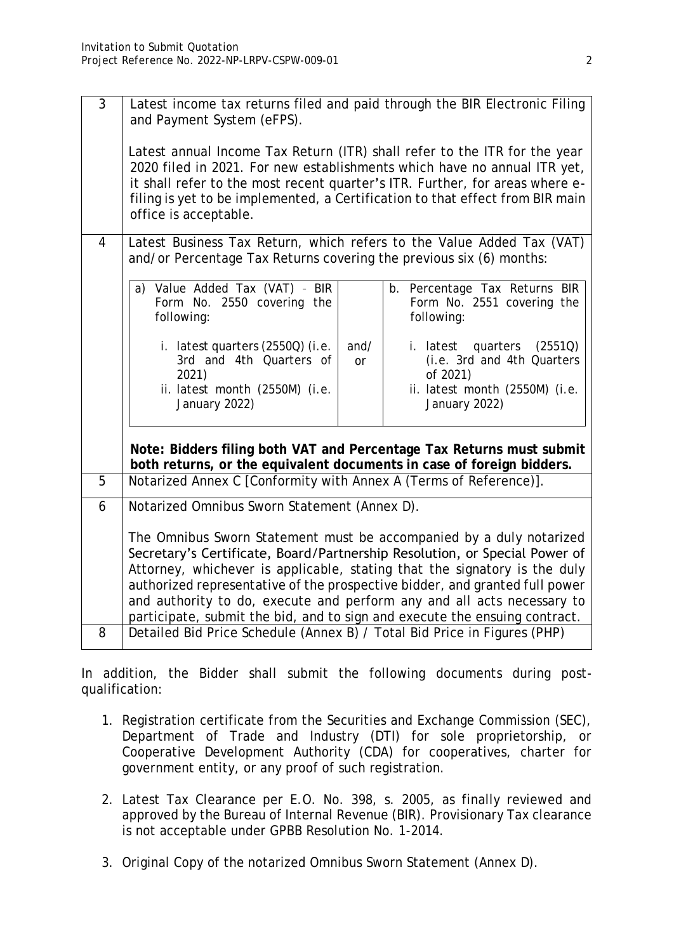| 3              | Latest income tax returns filed and paid through the BIR Electronic Filing<br>and Payment System (eFPS).                                                                                                                                                                                                                                                                                                                                                                                                                                          |            |                                                                                                                         |
|----------------|---------------------------------------------------------------------------------------------------------------------------------------------------------------------------------------------------------------------------------------------------------------------------------------------------------------------------------------------------------------------------------------------------------------------------------------------------------------------------------------------------------------------------------------------------|------------|-------------------------------------------------------------------------------------------------------------------------|
|                | Latest annual Income Tax Return (ITR) shall refer to the ITR for the year<br>2020 filed in 2021. For new establishments which have no annual ITR yet,<br>it shall refer to the most recent quarter's ITR. Further, for areas where e-<br>filing is yet to be implemented, a Certification to that effect from BIR main<br>office is acceptable.                                                                                                                                                                                                   |            |                                                                                                                         |
| $\overline{4}$ | Latest Business Tax Return, which refers to the Value Added Tax (VAT)<br>and/or Percentage Tax Returns covering the previous six (6) months:                                                                                                                                                                                                                                                                                                                                                                                                      |            |                                                                                                                         |
|                | a) Value Added Tax (VAT) - BIR<br>Form No. 2550 covering the<br>following:                                                                                                                                                                                                                                                                                                                                                                                                                                                                        |            | b. Percentage Tax Returns BIR<br>Form No. 2551 covering the<br>following:                                               |
|                | i. latest quarters (2550Q) (i.e.<br>3rd and 4th Quarters of<br>2021)<br>ii. latest month (2550M) (i.e.<br>January 2022)                                                                                                                                                                                                                                                                                                                                                                                                                           | and/<br>or | i. latest quarters (2551Q)<br>(i.e. 3rd and 4th Quarters<br>of 2021)<br>ii. latest month (2550M) (i.e.<br>January 2022) |
|                | Note: Bidders filing both VAT and Percentage Tax Returns must submit<br>both returns, or the equivalent documents in case of foreign bidders.                                                                                                                                                                                                                                                                                                                                                                                                     |            |                                                                                                                         |
| 5              | Notarized Annex C [Conformity with Annex A (Terms of Reference)].                                                                                                                                                                                                                                                                                                                                                                                                                                                                                 |            |                                                                                                                         |
| 6              | Notarized Omnibus Sworn Statement (Annex D).                                                                                                                                                                                                                                                                                                                                                                                                                                                                                                      |            |                                                                                                                         |
| 8              | The Omnibus Sworn Statement must be accompanied by a duly notarized<br>Secretary's Certificate, Board/Partnership Resolution, or Special Power of<br>Attorney, whichever is applicable, stating that the signatory is the duly<br>authorized representative of the prospective bidder, and granted full power<br>and authority to do, execute and perform any and all acts necessary to<br>participate, submit the bid, and to sign and execute the ensuing contract.<br>Detailed Bid Price Schedule (Annex B) / Total Bid Price in Figures (PHP) |            |                                                                                                                         |
|                |                                                                                                                                                                                                                                                                                                                                                                                                                                                                                                                                                   |            |                                                                                                                         |

In addition, the Bidder shall submit the following documents during postqualification:

- 1. Registration certificate from the Securities and Exchange Commission (SEC), Department of Trade and Industry (DTI) for sole proprietorship, or Cooperative Development Authority (CDA) for cooperatives, charter for government entity, or any proof of such registration.
- 2. Latest Tax Clearance per E.O. No. 398, s. 2005, as finally reviewed and approved by the Bureau of Internal Revenue (BIR). Provisionary Tax clearance is not acceptable under GPBB Resolution No. 1-2014.
- 3. Original Copy of the notarized Omnibus Sworn Statement (Annex D).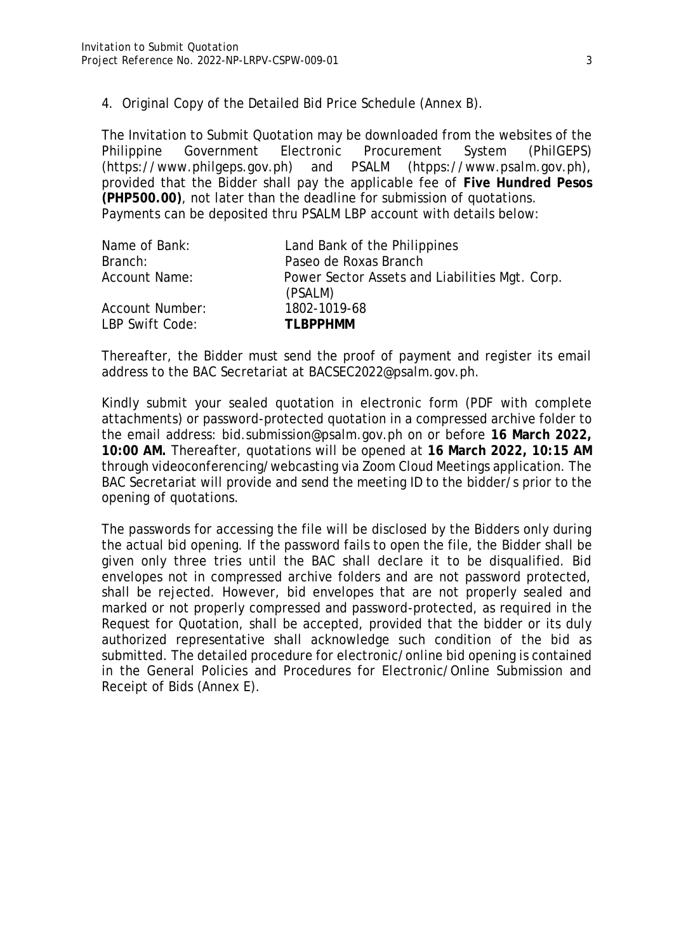4. Original Copy of the Detailed Bid Price Schedule (Annex B).

The Invitation to Submit Quotation may be downloaded from the websites of the Philippine Government Electronic Procurement System (PhilGEPS) (https://www.philgeps.gov.ph) and PSALM (htpps://www.psalm.gov.ph), provided that the Bidder shall pay the applicable fee of **Five Hundred Pesos (PHP500.00)**, not later than the deadline for submission of quotations. Payments can be deposited thru PSALM LBP account with details below:

| Name of Bank:                      | Land Bank of the Philippines                              |
|------------------------------------|-----------------------------------------------------------|
| Branch:                            | Paseo de Roxas Branch                                     |
| Account Name:                      | Power Sector Assets and Liabilities Mgt. Corp.<br>(PSALM) |
| Account Number:<br>LBP Swift Code: | 1802-1019-68<br>TI BPPHMM                                 |

Thereafter, the Bidder must send the proof of payment and register its email address to the BAC Secretariat at BACSEC2022@psalm.gov.ph.

Kindly submit your sealed quotation in electronic form (PDF with complete attachments) or password-protected quotation in a compressed archive folder to the email address: bid.submission@psalm.gov.ph on or before **16 March 2022, 10:00 AM.** Thereafter, quotations will be opened at **16 March 2022, 10:15 AM** through videoconferencing/webcasting via Zoom Cloud Meetings application. The BAC Secretariat will provide and send the meeting ID to the bidder/s prior to the opening of quotations.

The passwords for accessing the file will be disclosed by the Bidders only during the actual bid opening. If the password fails to open the file, the Bidder shall be given only three tries until the BAC shall declare it to be disqualified. Bid envelopes not in compressed archive folders and are not password protected, shall be rejected. However, bid envelopes that are not properly sealed and marked or not properly compressed and password-protected, as required in the Request for Quotation, shall be accepted, provided that the bidder or its duly authorized representative shall acknowledge such condition of the bid as submitted. The detailed procedure for electronic/online bid opening is contained in the General Policies and Procedures for Electronic/Online Submission and Receipt of Bids (Annex E).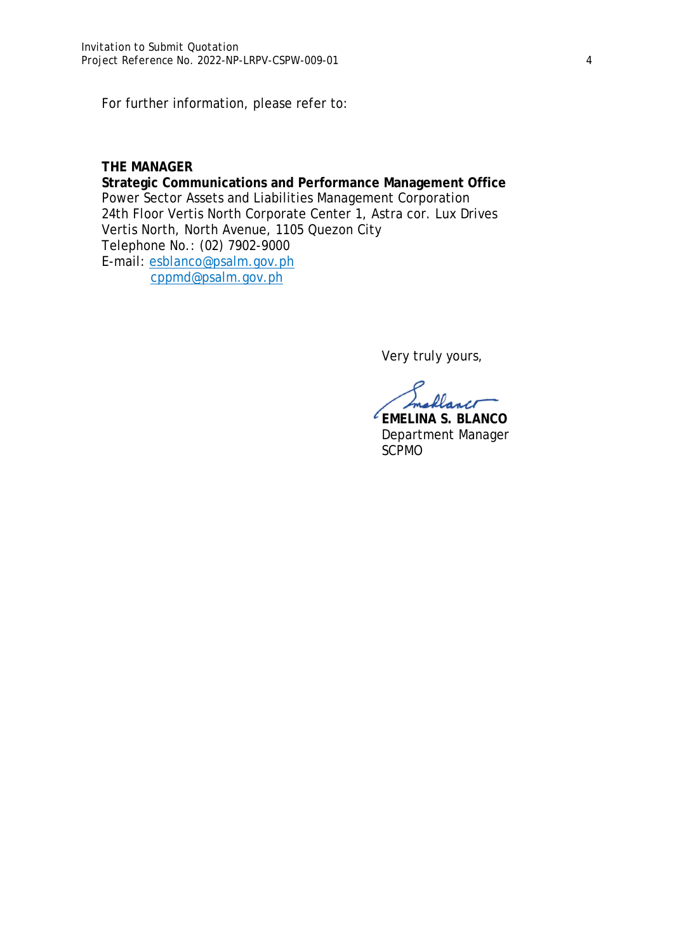For further information, please refer to:

#### **THE MANAGER**

**Strategic Communications and Performance Management Office**  Power Sector Assets and Liabilities Management Corporation 24th Floor Vertis North Corporate Center 1, Astra cor. Lux Drives Vertis North, North Avenue, 1105 Quezon City Telephone No.: (02) 7902-9000 E-mail: esblanco@psalm.gov.ph cppmd@psalm.gov.ph

Very truly yours,

flance

**EMELINA S. BLANCO** Department Manager SCPMO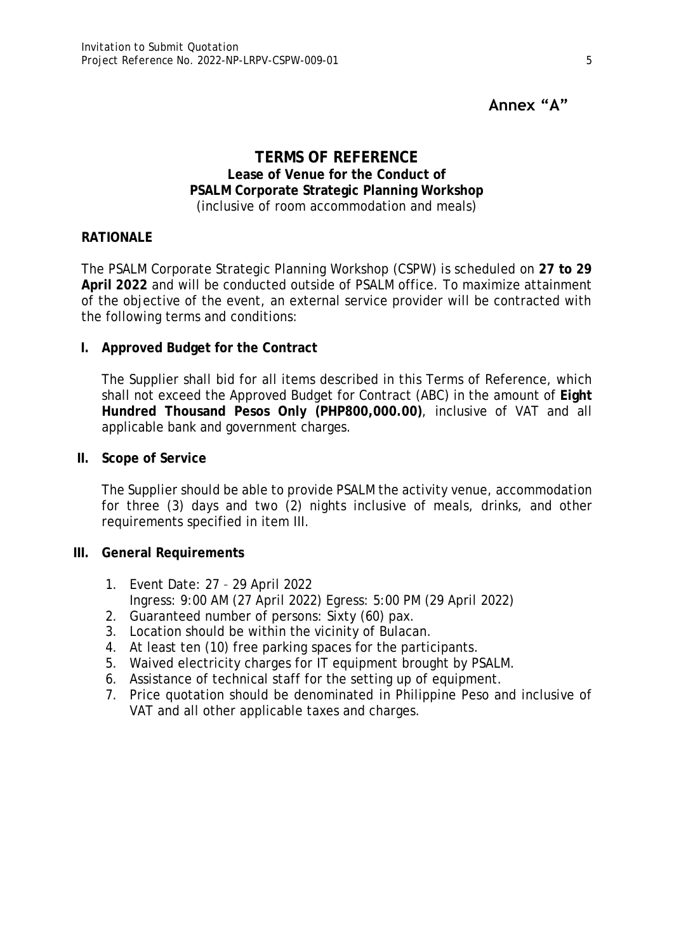# **Annex "A"**

### **TERMS OF REFERENCE Lease of Venue for the Conduct of PSALM Corporate Strategic Planning Workshop** (inclusive of room accommodation and meals)

#### **RATIONALE**

The PSALM Corporate Strategic Planning Workshop (CSPW) is scheduled on **27 to 29 April 2022** and will be conducted outside of PSALM office. To maximize attainment of the objective of the event, an external service provider will be contracted with the following terms and conditions:

**I. Approved Budget for the Contract**

The Supplier shall bid for all items described in this Terms of Reference, which shall not exceed the Approved Budget for Contract (ABC) in the amount of **Eight Hundred Thousand Pesos Only (PHP800,000.00)**, inclusive of VAT and all applicable bank and government charges.

**II. Scope of Service**

The Supplier should be able to provide PSALM the activity venue, accommodation for three (3) days and two (2) nights inclusive of meals, drinks, and other requirements specified in item III.

- **III. General Requirements**
	- 1. Event Date: 27 29 April 2022 Ingress: 9:00 AM (27 April 2022) Egress: 5:00 PM (29 April 2022)
	- 2. Guaranteed number of persons: Sixty (60) pax.
	- 3. Location should be within the vicinity of Bulacan.
	- 4. At least ten (10) free parking spaces for the participants.
	- 5. Waived electricity charges for IT equipment brought by PSALM.
	- 6. Assistance of technical staff for the setting up of equipment.
	- 7. Price quotation should be denominated in Philippine Peso and inclusive of VAT and all other applicable taxes and charges.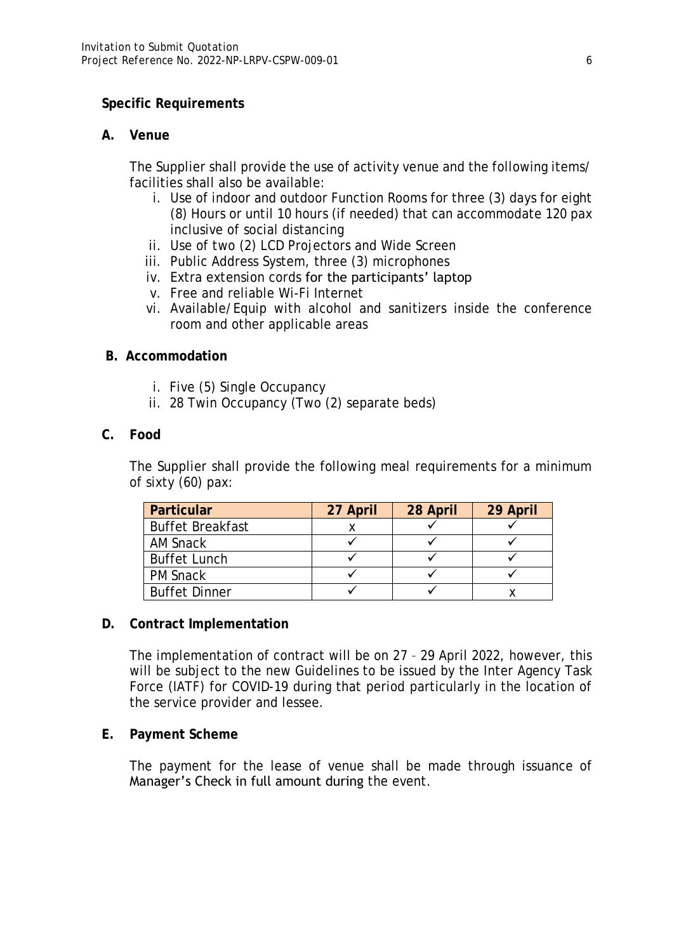### **Specific Requirements**

#### **A. Venue**

The Supplier shall provide the use of activity venue and the following items/ facilities shall also be available:

- i. Use of indoor and outdoor Function Rooms for three (3) days for eight (8) Hours or until 10 hours (if needed) that can accommodate 120 pax inclusive of social distancing
- ii. Use of two (2) LCD Projectors and Wide Screen
- iii. Public Address System, three (3) microphones
- iv. Extra extension cords for the participants' laptop
- v. Free and reliable Wi-Fi Internet
- vi. Available/Equip with alcohol and sanitizers inside the conference room and other applicable areas
- **B. Accommodation**
	- i. Five (5) Single Occupancy
	- ii. 28 Twin Occupancy (Two (2) separate beds)
- **C. Food**

The Supplier shall provide the following meal requirements for a minimum of sixty (60) pax:

| Particular              | 27 April | 28 April | 29 April |
|-------------------------|----------|----------|----------|
| <b>Buffet Breakfast</b> |          |          |          |
| AM Snack                |          |          |          |
| <b>Buffet Lunch</b>     |          |          |          |
| <b>PM Snack</b>         |          |          |          |
| <b>Buffet Dinner</b>    |          |          |          |

**D. Contract Implementation** 

The implementation of contract will be on 27 – 29 April 2022, however, this will be subject to the new Guidelines to be issued by the Inter Agency Task Force (IATF) for COVID-19 during that period particularly in the location of the service provider and lessee.

**E. Payment Scheme**

The payment for the lease of venue shall be made through issuance of Manager's Check in full amount during the event.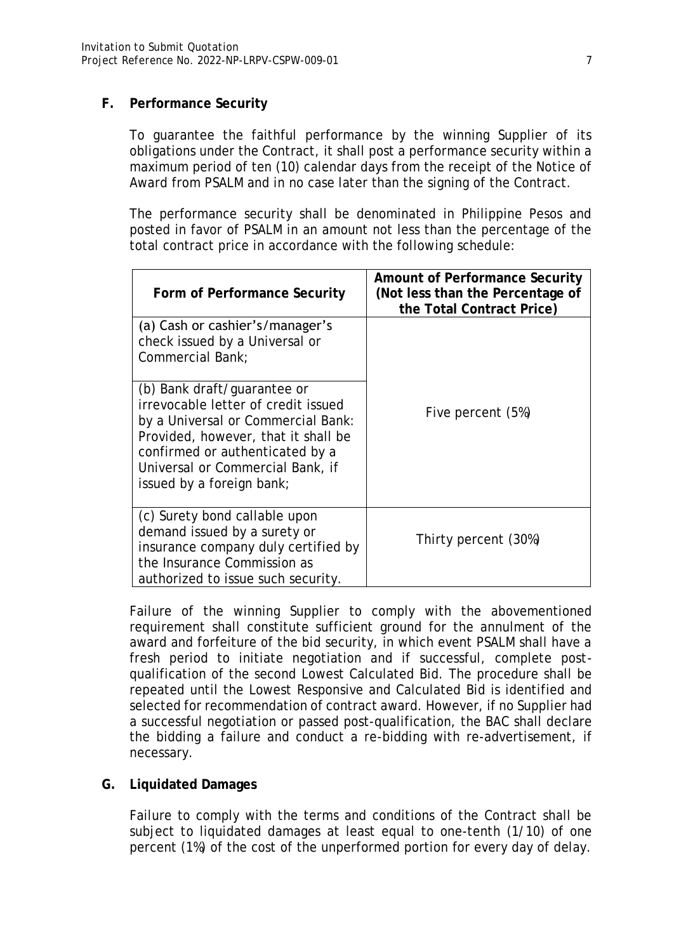## **F. Performance Security**

To guarantee the faithful performance by the winning Supplier of its obligations under the Contract, it shall post a performance security within a maximum period of ten (10) calendar days from the receipt of the Notice of Award from PSALM and in no case later than the signing of the Contract.

The performance security shall be denominated in Philippine Pesos and posted in favor of PSALM in an amount not less than the percentage of the total contract price in accordance with the following schedule:

| Form of Performance Security                                                                                                                                                                                                                        | Amount of Performance Security<br>(Not less than the Percentage of<br>the Total Contract Price) |
|-----------------------------------------------------------------------------------------------------------------------------------------------------------------------------------------------------------------------------------------------------|-------------------------------------------------------------------------------------------------|
| (a) Cash or cashier's/manager's<br>check issued by a Universal or<br>Commercial Bank:                                                                                                                                                               |                                                                                                 |
| (b) Bank draft/guarantee or<br>irrevocable letter of credit issued<br>by a Universal or Commercial Bank:<br>Provided, however, that it shall be<br>confirmed or authenticated by a<br>Universal or Commercial Bank, if<br>issued by a foreign bank; | Five percent (5%)                                                                               |
| (c) Surety bond callable upon<br>demand issued by a surety or<br>insurance company duly certified by<br>the Insurance Commission as<br>authorized to issue such security.                                                                           | Thirty percent (30%)                                                                            |

Failure of the winning Supplier to comply with the abovementioned requirement shall constitute sufficient ground for the annulment of the award and forfeiture of the bid security, in which event PSALM shall have a fresh period to initiate negotiation and if successful, complete postqualification of the second Lowest Calculated Bid. The procedure shall be repeated until the Lowest Responsive and Calculated Bid is identified and selected for recommendation of contract award. However, if no Supplier had a successful negotiation or passed post-qualification, the BAC shall declare the bidding a failure and conduct a re-bidding with re-advertisement, if necessary.

#### **G. Liquidated Damages**

Failure to comply with the terms and conditions of the Contract shall be subject to liquidated damages at least equal to one-tenth (1/10) of one percent (1%) of the cost of the unperformed portion for every day of delay.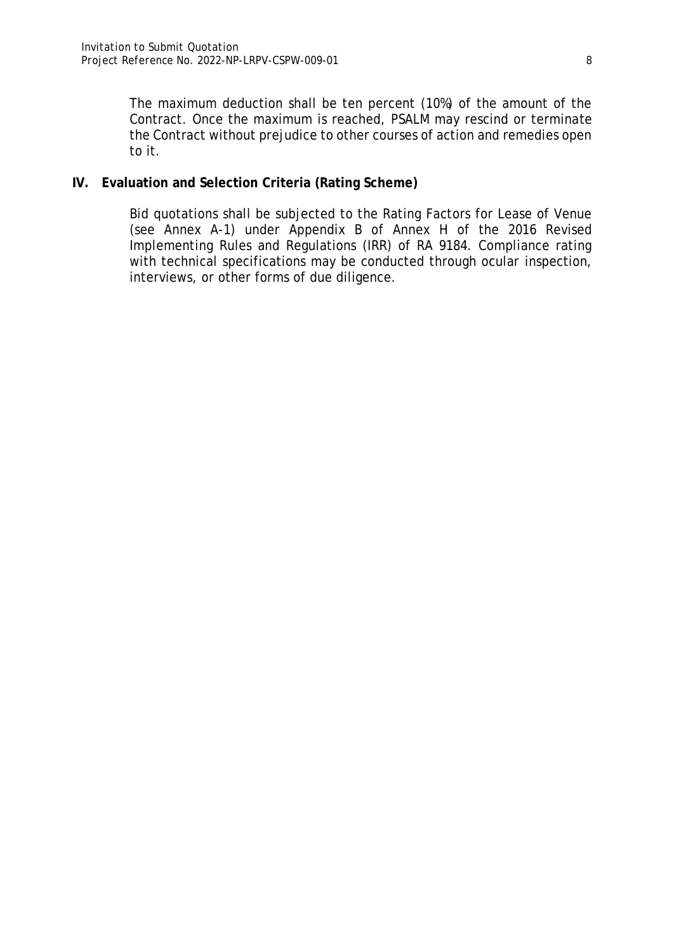The maximum deduction shall be ten percent (10%) of the amount of the Contract. Once the maximum is reached, PSALM may rescind or terminate the Contract without prejudice to other courses of action and remedies open to it.

**IV. Evaluation and Selection Criteria (Rating Scheme)**

Bid quotations shall be subjected to the Rating Factors for Lease of Venue (see Annex A-1) under Appendix B of Annex H of the 2016 Revised Implementing Rules and Regulations (IRR) of RA 9184. Compliance rating with technical specifications may be conducted through ocular inspection, interviews, or other forms of due diligence.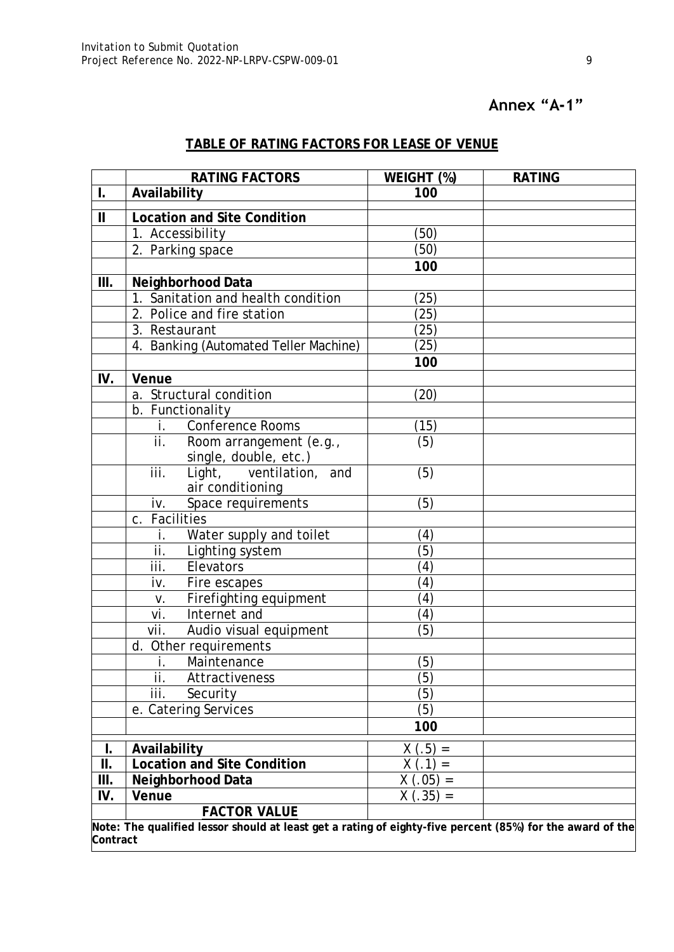# **Annex "A-1"**

# **TABLE OF RATING FACTORS FOR LEASE OF VENUE**

|                        | RATING FACTORS                                                                                            | WEIGHT (%)          | <b>RATING</b> |
|------------------------|-----------------------------------------------------------------------------------------------------------|---------------------|---------------|
| I.                     | Availability                                                                                              | 100                 |               |
| $\mathbf{\mathcal{L}}$ | Location and Site Condition                                                                               |                     |               |
|                        | 1. Accessibility                                                                                          | (50)                |               |
|                        | 2. Parking space                                                                                          | (50)                |               |
|                        |                                                                                                           | 100                 |               |
| $\mathop{\rm III}.$    | Neighborhood Data                                                                                         |                     |               |
|                        | 1. Sanitation and health condition                                                                        | 25                  |               |
|                        | 2. Police and fire station                                                                                | (25)                |               |
|                        | 3. Restaurant                                                                                             | (25)                |               |
|                        | 4. Banking (Automated Teller Machine)                                                                     | (25)                |               |
|                        |                                                                                                           | 100                 |               |
| IV.                    | Venue                                                                                                     |                     |               |
|                        | a. Structural condition                                                                                   | (20)                |               |
|                        | b. Functionality                                                                                          |                     |               |
|                        | Conference Rooms<br>Ť.                                                                                    | (15)                |               |
|                        | ii.<br>Room arrangement (e.g.,                                                                            | (5)                 |               |
|                        | single, double, etc.)                                                                                     |                     |               |
|                        | iii.<br>Light, ventilation, and                                                                           | (5)                 |               |
|                        | air conditioning                                                                                          |                     |               |
|                        | Space requirements<br>iv.                                                                                 | (5)                 |               |
|                        | c. Facilities                                                                                             |                     |               |
|                        | Water supply and toilet                                                                                   | (4)                 |               |
|                        | ii.<br>Lighting system                                                                                    | (5)                 |               |
|                        | iii.<br>Elevators                                                                                         | (4)                 |               |
|                        | Fire escapes<br>iv.                                                                                       | (4)                 |               |
|                        | Firefighting equipment<br>V.                                                                              | (4)                 |               |
|                        | vi.<br>Internet and                                                                                       | (4)                 |               |
|                        | vii.<br>Audio visual equipment                                                                            | (5)                 |               |
|                        | d. Other requirements                                                                                     |                     |               |
|                        | Maintenance                                                                                               | (5)                 |               |
|                        | Attractiveness<br>Н.                                                                                      | $\overline{(5)}$    |               |
|                        | iii.<br>Security                                                                                          | (5)                 |               |
|                        | e. Catering Services                                                                                      | (5)                 |               |
|                        |                                                                                                           | 100                 |               |
| I.                     | Availability                                                                                              | (.5)<br>Χ<br>$\, =$ |               |
| Ш.                     | Location and Site Condition                                                                               | (1)                 |               |
| Ш.                     | Neighborhood Data                                                                                         | $(0.05) =$          |               |
| IV.                    | Venue                                                                                                     | $.35) =$<br>X       |               |
|                        | <b>FACTOR VALUE</b>                                                                                       |                     |               |
|                        | Note: The qualified lessor should at least get a rating of eighty-five percent (85%) for the award of the |                     |               |
| Contract               |                                                                                                           |                     |               |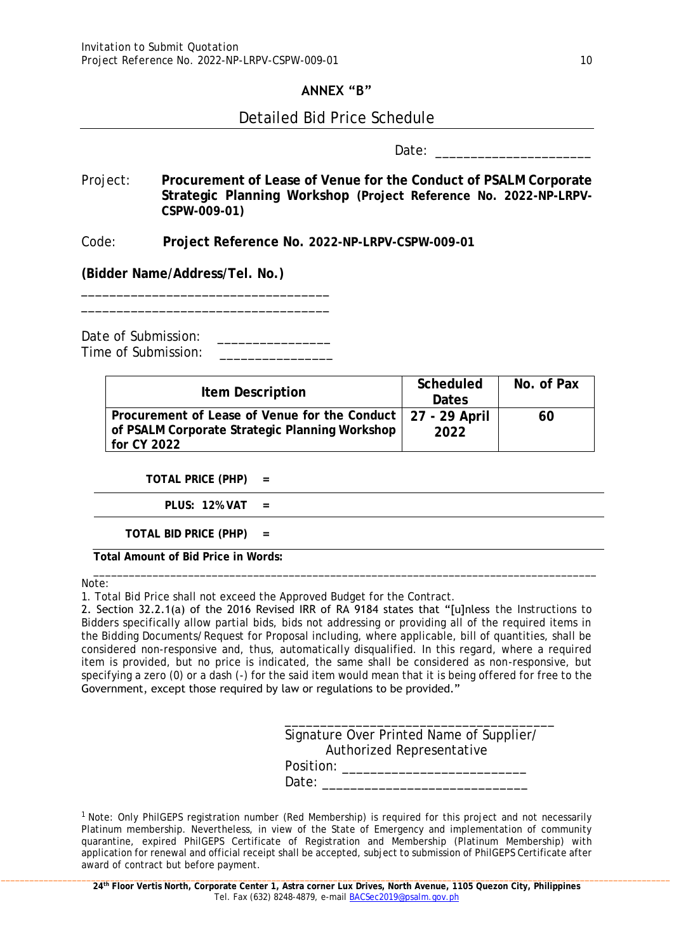### **ANNEX "B"**

## Detailed Bid Price Schedule

Date:

Project: **Procurement of Lease of Venue for the Conduct of PSALM Corporate Strategic Planning Workshop (Project Reference No. 2022-NP-LRPV-CSPW-009-01)**

Code: **Project Reference No. 2022-NP-LRPV-CSPW-009-01**

**(Bidder Name/Address/Tel. No.)**

Date of Submission: Time of Submission:\_\_\_\_\_\_\_\_\_\_\_\_\_\_\_\_

\_\_\_\_\_\_\_\_\_\_\_\_\_\_\_\_\_\_\_\_\_\_\_\_\_\_\_\_\_\_\_\_\_\_\_ \_\_\_\_\_\_\_\_\_\_\_\_\_\_\_\_\_\_\_\_\_\_\_\_\_\_\_\_\_\_\_\_\_\_\_

| Item Description                                                                                                                 | Scheduled<br>Dates | No. of Pax |
|----------------------------------------------------------------------------------------------------------------------------------|--------------------|------------|
| Procurement of Lease of Venue for the Conduct   27 - 29 April<br>of PSALM Corporate Strategic Planning Workshop  <br>for CY 2022 | 2022               | 60         |

**TOTAL PRICE (PHP) =**

**PLUS: 12% VAT =**

**TOTAL BID PRICE (PHP) =**

**Total Amount of Bid Price in Words:**

Note:

1. Total Bid Price shall not exceed the Approved Budget for the Contract.

2. Section 32.2.1(a) of the 2016 Revised IRR of RA 9184 states that "[u]nless the Instructions to Bidders specifically allow partial bids, bids not addressing or providing all of the required items in the Bidding Documents/Request for Proposal including, where applicable, bill of quantities, shall be considered non-responsive and, thus, automatically disqualified. In this regard, where a required item is provided, but no price is indicated, the same shall be considered as non-responsive, but specifying a zero (0) or a dash (-) for the said item would mean that it is being offered for free to the Government, except those required by law or regulations to be provided."

\_\_\_\_\_\_\_\_\_\_\_\_\_\_\_\_\_\_\_\_\_\_\_\_\_\_\_\_\_\_\_\_\_\_\_\_\_\_\_\_\_\_\_\_\_\_\_\_\_\_\_\_\_\_\_\_\_\_\_\_\_\_\_\_\_\_\_\_\_\_\_\_\_\_\_\_\_\_\_\_\_\_\_\_\_

| Signature Over Printed Name of Supplier/ |
|------------------------------------------|
| Authorized Representative                |
| Position:                                |
| Date:                                    |

<sup>1</sup> Note: Only PhilGEPS registration number (Red Membership) is required for this project and not necessarily Platinum membership. Nevertheless, in view of the State of Emergency and implementation of community quarantine, expired PhilGEPS Certificate of Registration and Membership (Platinum Membership) with application for renewal and official receipt shall be accepted, subject to submission of PhilGEPS Certificate after award of contract but before payment.

**24th Floor Vertis North, Corporate Center 1, Astra corner Lux Drives, North Avenue, 1105 Quezon City, Philippines** Tel. Fax (632) 8248-4879, e-mail **BACSec2019@psalm.gov.ph**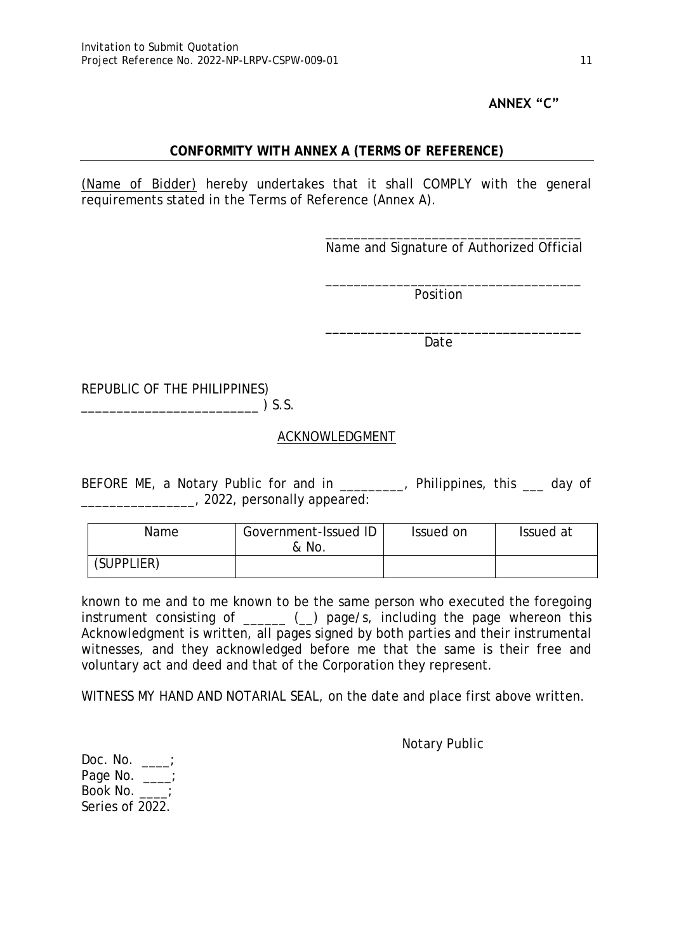# **ANNEX "C"**

### **CONFORMITY WITH ANNEX A (TERMS OF REFERENCE)**

*(Name of Bidder)* hereby undertakes that it shall COMPLY with the general requirements stated in the Terms of Reference (Annex A).

> \_\_\_\_\_\_\_\_\_\_\_\_\_\_\_\_\_\_\_\_\_\_\_\_\_\_\_\_\_\_\_\_\_\_\_\_ Name and Signature of Authorized Official

\_\_\_\_\_\_\_\_\_\_\_\_\_\_\_\_\_\_\_\_\_\_\_\_\_\_\_\_\_\_\_\_\_\_\_\_

\_\_\_\_\_\_\_\_\_\_\_\_\_\_\_\_\_\_\_\_\_\_\_\_\_\_\_\_\_\_\_\_\_\_\_\_

Position

Date

REPUBLIC OF THE PHILIPPINES)  $\sum_{i=1}^{n} S_i$ 

# ACKNOWLEDGMENT

BEFORE ME, a Notary Public for and in \_\_\_\_\_\_\_, Philippines, this \_\_\_ day of \_\_\_\_\_\_\_\_\_\_\_\_\_\_\_\_, 2022, personally appeared:

| Name       | Government-Issued ID<br>& No. | Issued on | Issued at |
|------------|-------------------------------|-----------|-----------|
| (SUPPLIER) |                               |           |           |

known to me and to me known to be the same person who executed the foregoing instrument consisting of  $\qquad \qquad \qquad _{\qquad }$   $\qquad \qquad _{\qquad }$  page/s, including the page whereon this Acknowledgment is written, all pages signed by both parties and their instrumental witnesses, and they acknowledged before me that the same is their free and voluntary act and deed and that of the Corporation they represent.

WITNESS MY HAND AND NOTARIAL SEAL, on the date and place first above written.

Notary Public

Doc. No. \_\_\_\_; Page No. \_\_\_; Book No. \_\_\_\_; Series of 2022.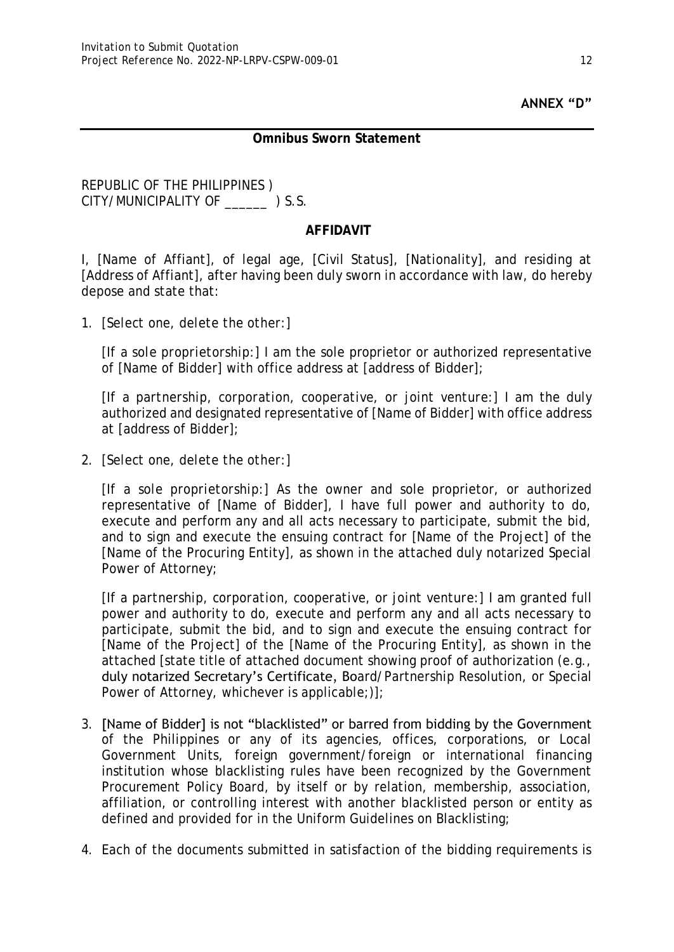# **ANNEX "D"**

#### **Omnibus Sworn Statement**

#### REPUBLIC OF THE PHILIPPINES ) CITY/MUNICIPALITY OF \_\_\_\_\_\_ ) S.S.

## **AFFIDAVIT**

I, [Name of Affiant], of legal age, [Civil Status], [Nationality], and residing at [Address of Affiant], after having been duly sworn in accordance with law, do hereby depose and state that:

*1. [Select one, delete the other:]*

*[If a sole proprietorship:]* I am the sole proprietor or authorized representative of [Name of Bidder] with office address at [address of Bidder];

*[If a partnership, corporation, cooperative, or joint venture:]* I am the duly authorized and designated representative of [Name of Bidder] with office address at [address of Bidder];

*2. [Select one, delete the other:]*

*[If a sole proprietorship:]* As the owner and sole proprietor, or authorized representative of [Name of Bidder], I have full power and authority to do, execute and perform any and all acts necessary to participate, submit the bid, and to sign and execute the ensuing contract for [Name of the Project] of the [Name of the Procuring Entity], as shown in the attached duly notarized Special Power of Attorney;

*[If a partnership, corporation, cooperative, or joint venture:]* I am granted full power and authority to do, execute and perform any and all acts necessary to participate, submit the bid, and to sign and execute the ensuing contract for [Name of the Project] of the [Name of the Procuring Entity], as shown in the attached [state title of attached document showing proof of authorization (e.g., duly notarized Secretary's Certificate, Board/Partnership Resolution, or Special Power of Attorney, whichever is applicable;)];

- 3. [Name of Bidder] is not "blacklisted" or barred from bidding by the Government of the Philippines or any of its agencies, offices, corporations, or Local Government Units, foreign government/foreign or international financing institution whose blacklisting rules have been recognized by the Government Procurement Policy Board, by itself or by relation, membership, association, affiliation, or controlling interest with another blacklisted person or entity as defined and provided for in the Uniform Guidelines on Blacklisting;
- 4. Each of the documents submitted in satisfaction of the bidding requirements is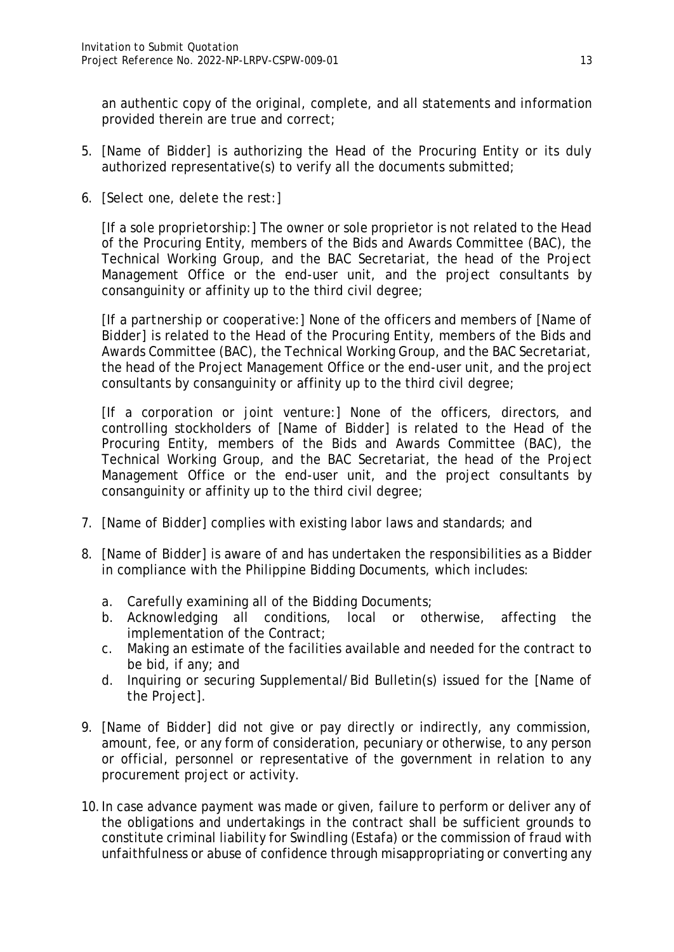an authentic copy of the original, complete, and all statements and information provided therein are true and correct;

- 5. [Name of Bidder] is authorizing the Head of the Procuring Entity or its duly authorized representative(s) to verify all the documents submitted;
- *6. [Select one, delete the rest:]*

*[If a sole proprietorship:]* The owner or sole proprietor is not related to the Head of the Procuring Entity, members of the Bids and Awards Committee (BAC), the Technical Working Group, and the BAC Secretariat, the head of the Project Management Office or the end-user unit, and the project consultants by consanguinity or affinity up to the third civil degree;

*[If a partnership or cooperative:]* None of the officers and members of *[Name of Bidder]* is related to the Head of the Procuring Entity, members of the Bids and Awards Committee (BAC), the Technical Working Group, and the BAC Secretariat, the head of the Project Management Office or the end-user unit, and the project consultants by consanguinity or affinity up to the third civil degree;

*[If a corporation or joint venture:]* None of the officers, directors, and controlling stockholders of *[Name of Bidder]* is related to the Head of the Procuring Entity, members of the Bids and Awards Committee (BAC), the Technical Working Group, and the BAC Secretariat, the head of the Project Management Office or the end-user unit, and the project consultants by consanguinity or affinity up to the third civil degree;

- 7. *[Name of Bidder]* complies with existing labor laws and standards; and
- 8. *[Name of Bidder]* is aware of and has undertaken the responsibilities as a Bidder in compliance with the Philippine Bidding Documents, which includes:
	- a. Carefully examining all of the Bidding Documents;
	- b. Acknowledging all conditions, local or otherwise, affecting the implementation of the Contract;
	- c. Making an estimate of the facilities available and needed for the contract to be bid, if any; and
	- d. Inquiring or securing Supplemental/Bid Bulletin(s) issued for the *[Name of the Project]*.
- 9. *[Name of Bidder]* did not give or pay directly or indirectly, any commission, amount, fee, or any form of consideration, pecuniary or otherwise, to any person or official, personnel or representative of the government in relation to any procurement project or activity.
- 10.In case advance payment was made or given, failure to perform or deliver any of the obligations and undertakings in the contract shall be sufficient grounds to constitute criminal liability for Swindling (Estafa) or the commission of fraud with unfaithfulness or abuse of confidence through misappropriating or converting any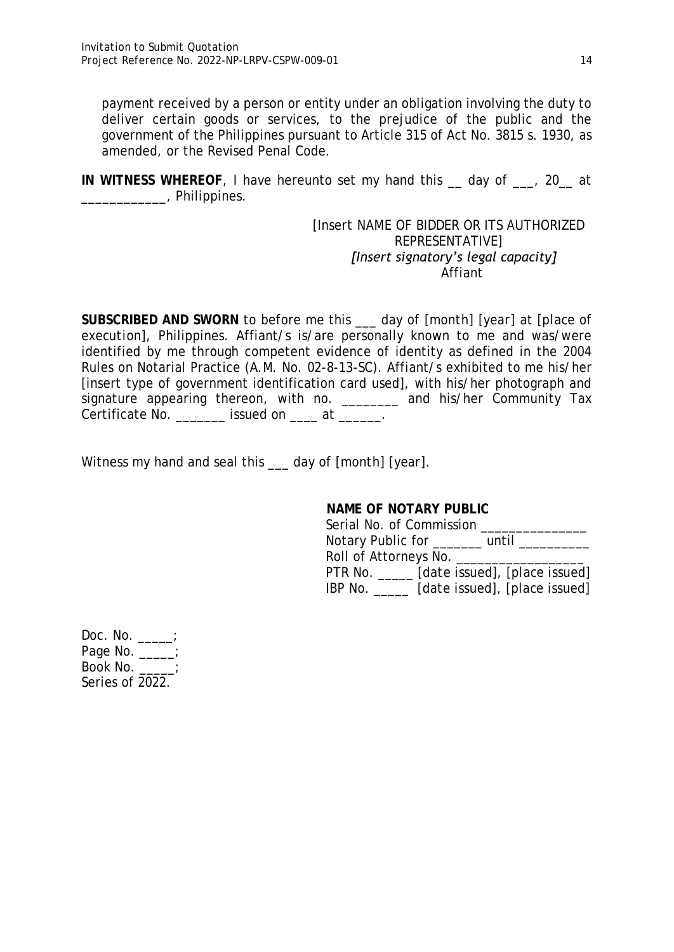payment received by a person or entity under an obligation involving the duty to deliver certain goods or services, to the prejudice of the public and the government of the Philippines pursuant to Article 315 of Act No. 3815 s. 1930, as amended, or the Revised Penal Code.

**IN WITNESS WHEREOF**, I have hereunto set my hand this \_\_ day of \_\_\_, 20\_\_ at \_\_\_\_\_\_\_\_\_\_\_\_, Philippines.

> *[Insert NAME OF BIDDER OR ITS AUTHORIZED REPRESENTATIVE] [Insert signatory's legal capacity]* Affiant

**SUBSCRIBED AND SWORN** to before me this \_\_\_ day of *[month] [year]* at *[place of execution],* Philippines. Affiant/s is/are personally known to me and was/were identified by me through competent evidence of identity as defined in the 2004 Rules on Notarial Practice (A.M. No. 02-8-13-SC). Affiant/s exhibited to me his/her [insert type of government identification card used], with his/her photograph and signature appearing thereon, with no. \_\_\_\_\_\_\_ and his/her Community Tax Certificate No. \_\_\_\_\_\_\_ issued on \_\_\_\_ at \_\_\_\_\_\_.

Witness my hand and seal this \_\_\_ day of *[month] [year]*.

| NAME OF NOTARY PUBLIC                        |
|----------------------------------------------|
| Serial No. of Commission                     |
| Notary Public for ________ until __          |
| Roll of Attorneys No. _______________        |
| PTR No. ______ [date issued], [place issued] |
| [date issued], [place issued]<br>IBP No.     |

| Doc. No.        |  |
|-----------------|--|
| Page No.        |  |
| Book No.        |  |
| Series of 2022. |  |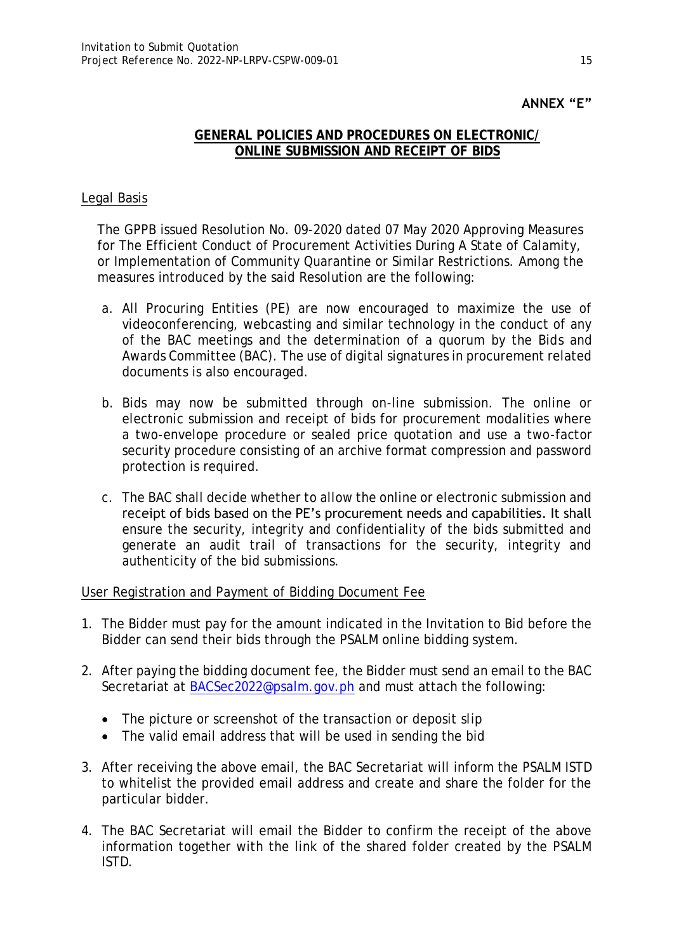# **ANNEX "E"**

### **GENERAL POLICIES AND PROCEDURES ON ELECTRONIC/ ONLINE SUBMISSION AND RECEIPT OF BIDS**

#### Legal Basis

The GPPB issued Resolution No. 09-2020 dated 07 May 2020 Approving Measures for The Efficient Conduct of Procurement Activities During A State of Calamity, or Implementation of Community Quarantine or Similar Restrictions. Among the measures introduced by the said Resolution are the following:

- a. All Procuring Entities (PE) are now encouraged to maximize the use of videoconferencing, webcasting and similar technology in the conduct of any of the BAC meetings and the determination of a quorum by the Bids and Awards Committee (BAC). The use of digital signatures in procurement related documents is also encouraged.
- b. Bids may now be submitted through on-line submission. The online or electronic submission and receipt of bids for procurement modalities where a two-envelope procedure or sealed price quotation and use a two-factor security procedure consisting of an archive format compression and password protection is required.
- c. The BAC shall decide whether to allow the online or electronic submission and receipt of bids based on the PE's procurement needs and capabilities. It shall ensure the security, integrity and confidentiality of the bids submitted and generate an audit trail of transactions for the security, integrity and authenticity of the bid submissions.

User Registration and Payment of Bidding Document Fee

- 1. The Bidder must pay for the amount indicated in the Invitation to Bid before the Bidder can send their bids through the PSALM online bidding system.
- 2. After paying the bidding document fee, the Bidder must send an email to the BAC Secretariat at [BACSec2022@psalm.gov.ph](mailto:BACSec2022@psalm.gov.ph) and must attach the following:
	- The picture or screenshot of the transaction or deposit slip
	- The valid email address that will be used in sending the bid
- 3. After receiving the above email, the BAC Secretariat will inform the PSALM ISTD to whitelist the provided email address and create and share the folder for the particular bidder.
- 4. The BAC Secretariat will email the Bidder to confirm the receipt of the above information together with the link of the shared folder created by the PSALM ISTD.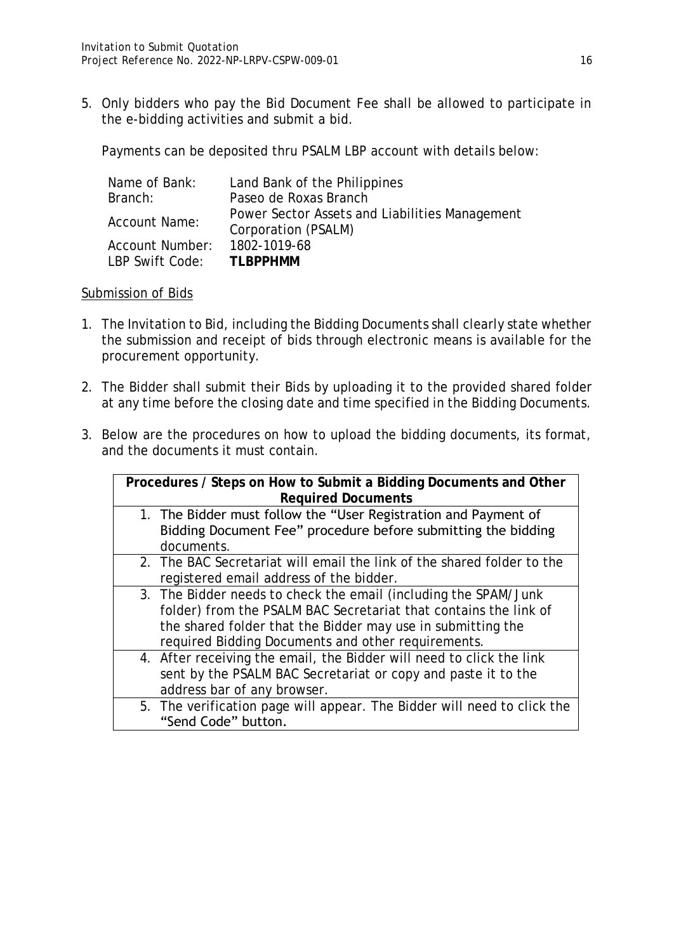5. Only bidders who pay the Bid Document Fee shall be allowed to participate in the e-bidding activities and submit a bid.

Payments can be deposited thru PSALM LBP account with details below:

| Name of Bank:   | Land Bank of the Philippines                                          |
|-----------------|-----------------------------------------------------------------------|
| Branch:         | Paseo de Roxas Branch                                                 |
| Account Name:   | Power Sector Assets and Liabilities Management<br>Corporation (PSALM) |
| Account Number: | 1802-1019-68                                                          |
| LBP Swift Code: | TI BPPHMM                                                             |

### Submission of Bids

- 1. The Invitation to Bid, including the Bidding Documents shall clearly state whether the submission and receipt of bids through electronic means is available for the procurement opportunity.
- 2. The Bidder shall submit their Bids by uploading it to the provided shared folder at any time before the closing date and time specified in the Bidding Documents.
- 3. Below are the procedures on how to upload the bidding documents, its format, and the documents it must contain.

| Procedures / Steps on How to Submit a Bidding Documents and Other       |  |  |  |  |
|-------------------------------------------------------------------------|--|--|--|--|
| <b>Required Documents</b>                                               |  |  |  |  |
| 1. The Bidder must follow the "User Registration and Payment of         |  |  |  |  |
| Bidding Document Fee" procedure before submitting the bidding           |  |  |  |  |
| documents.                                                              |  |  |  |  |
| 2. The BAC Secretariat will email the link of the shared folder to the  |  |  |  |  |
| registered email address of the bidder.                                 |  |  |  |  |
| 3. The Bidder needs to check the email (including the SPAM/Junk         |  |  |  |  |
| folder) from the PSALM BAC Secretariat that contains the link of        |  |  |  |  |
| the shared folder that the Bidder may use in submitting the             |  |  |  |  |
| required Bidding Documents and other requirements.                      |  |  |  |  |
| 4. After receiving the email, the Bidder will need to click the link    |  |  |  |  |
| sent by the PSALM BAC Secretariat or copy and paste it to the           |  |  |  |  |
| address bar of any browser.                                             |  |  |  |  |
| 5. The verification page will appear. The Bidder will need to click the |  |  |  |  |
| "Send Code" button.                                                     |  |  |  |  |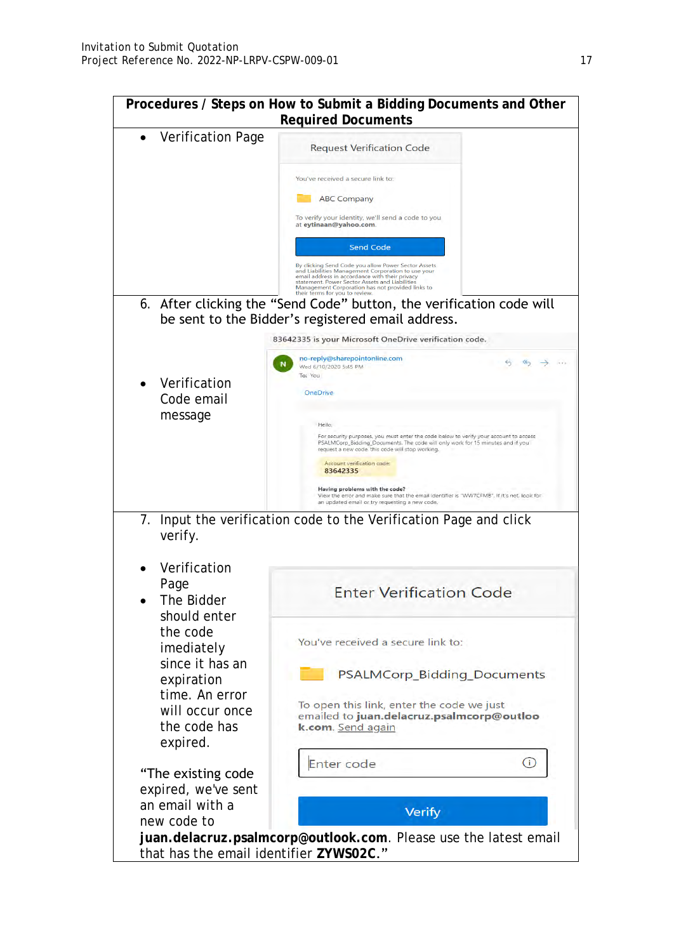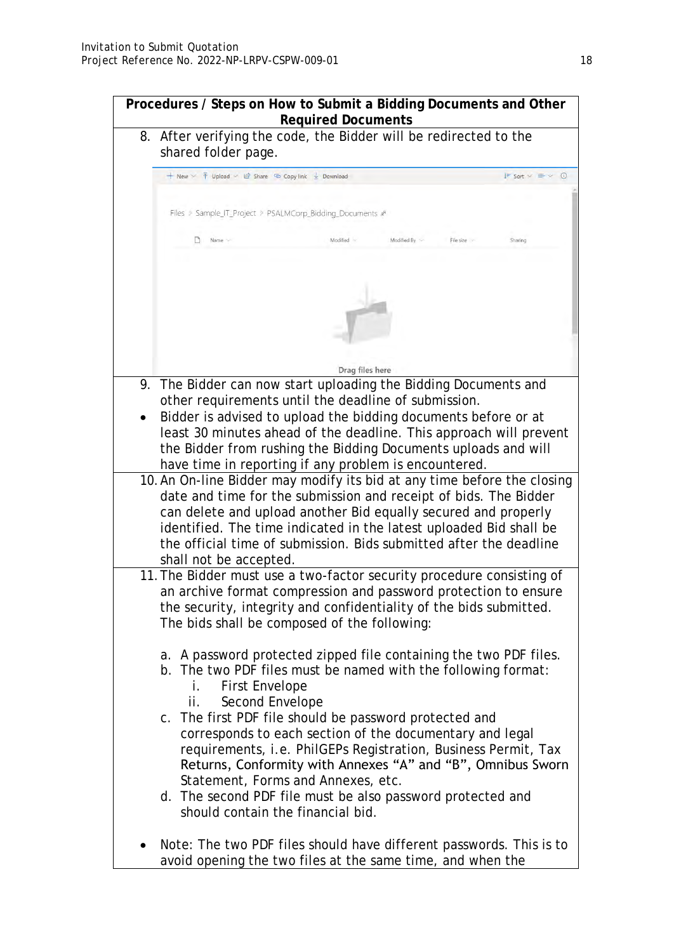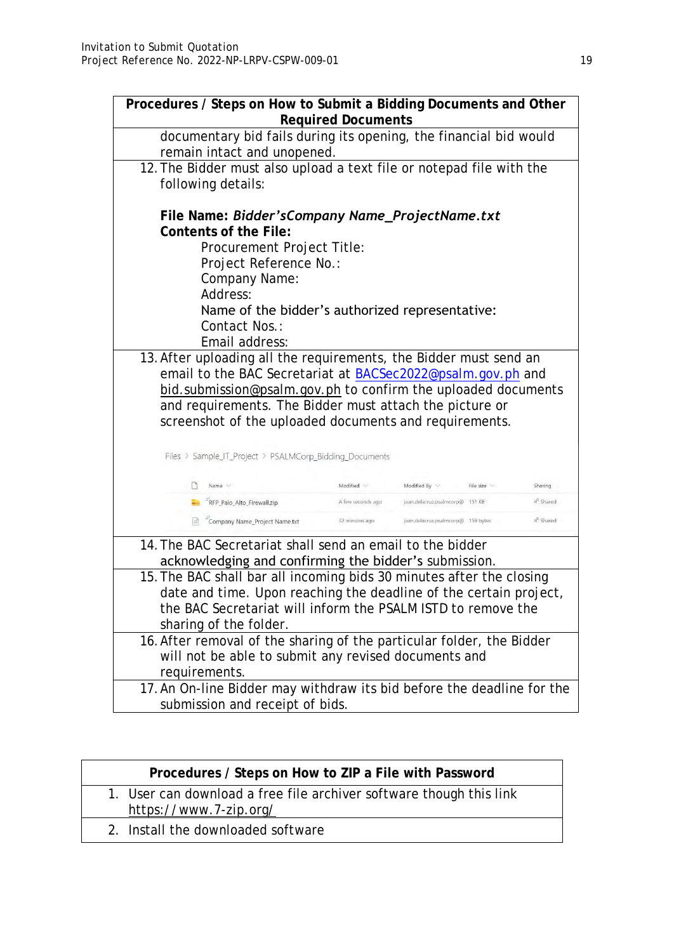| Procedures / Steps on How to Submit a Bidding Documents and Other      |                            |                   |                                                                      |                       |  |
|------------------------------------------------------------------------|----------------------------|-------------------|----------------------------------------------------------------------|-----------------------|--|
| <b>Required Documents</b>                                              |                            |                   |                                                                      |                       |  |
| documentary bid fails during its opening, the financial bid would      |                            |                   |                                                                      |                       |  |
| remain intact and unopened.                                            |                            |                   |                                                                      |                       |  |
|                                                                        |                            |                   | 12. The Bidder must also upload a text file or notepad file with the |                       |  |
|                                                                        | following details:         |                   |                                                                      |                       |  |
|                                                                        |                            |                   |                                                                      |                       |  |
| File Name: Bidder's Company Name_Project Name.txt                      |                            |                   |                                                                      |                       |  |
| Contents of the File:                                                  |                            |                   |                                                                      |                       |  |
|                                                                        | Procurement Project Title: |                   |                                                                      |                       |  |
|                                                                        | Project Reference No.:     |                   |                                                                      |                       |  |
| Company Name:                                                          |                            |                   |                                                                      |                       |  |
| Address:                                                               |                            |                   |                                                                      |                       |  |
|                                                                        |                            |                   | Name of the bidder's authorized representative:                      |                       |  |
| Contact Nos.:                                                          |                            |                   |                                                                      |                       |  |
| Email address:                                                         |                            |                   |                                                                      |                       |  |
|                                                                        |                            |                   | 13. After uploading all the requirements, the Bidder must send an    |                       |  |
|                                                                        |                            |                   | email to the BAC Secretariat at BACSec2022@psalm.gov.ph and          |                       |  |
|                                                                        |                            |                   | bid.submission@psalm.gov.ph to confirm the uploaded documents        |                       |  |
|                                                                        |                            |                   | and requirements. The Bidder must attach the picture or              |                       |  |
|                                                                        |                            |                   | screenshot of the uploaded documents and requirements.               |                       |  |
|                                                                        |                            |                   |                                                                      |                       |  |
| Files > Sample_IT_Project > PSALMCorp_Bidding_Documents                |                            |                   |                                                                      |                       |  |
| $\Box$<br>Name V                                                       |                            | Modified V        | Modified By $\vee$ File size                                         | Sharing               |  |
| RFP_Palo_Alto_Firewall.zip                                             |                            | A few seconds ago | juan.delacruz.psalmcorp@ 151 KB                                      | x <sup>2</sup> Shared |  |
|                                                                        |                            |                   |                                                                      |                       |  |
| Company Name_Project Name.txt                                          |                            | 32 minutes ago    | juan.delacruz.psalmcorp@ 159 bytes                                   | $A^R$ Shared          |  |
| 14. The BAC Secretariat shall send an email to the bidder              |                            |                   |                                                                      |                       |  |
|                                                                        |                            |                   | acknowledging and confirming the bidder's submission.                |                       |  |
|                                                                        |                            |                   | 15. The BAC shall bar all incoming bids 30 minutes after the closing |                       |  |
| date and time. Upon reaching the deadline of the certain project,      |                            |                   |                                                                      |                       |  |
| the BAC Secretariat will inform the PSALM ISTD to remove the           |                            |                   |                                                                      |                       |  |
| sharing of the folder.                                                 |                            |                   |                                                                      |                       |  |
| 16. After removal of the sharing of the particular folder, the Bidder  |                            |                   |                                                                      |                       |  |
|                                                                        |                            |                   | will not be able to submit any revised documents and                 |                       |  |
| requirements.                                                          |                            |                   |                                                                      |                       |  |
| 17. An On-line Bidder may withdraw its bid before the deadline for the |                            |                   |                                                                      |                       |  |
| submission and receipt of bids.                                        |                            |                   |                                                                      |                       |  |

| Procedures / Steps on How to ZIP a File with Password                                         |  |
|-----------------------------------------------------------------------------------------------|--|
| 1. User can download a free file archiver software though this link<br>https://www.7-zip.org/ |  |
| 2. Install the downloaded software                                                            |  |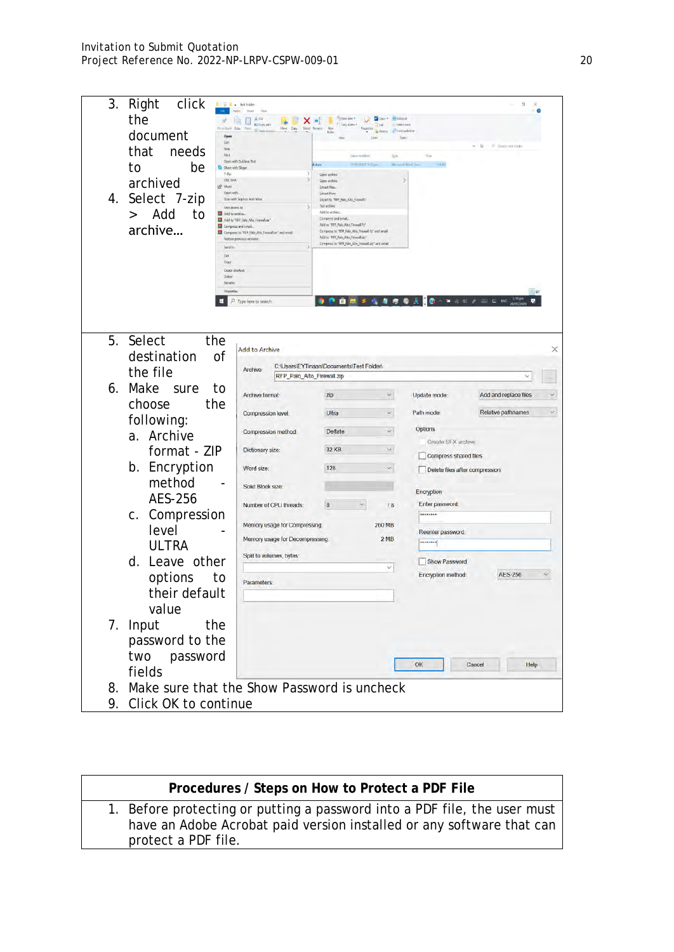| 3.<br>Right<br>click                              | <b>Executive</b>                                                                          |                                                                                                                                |                       |                                | $\alpha$                                |
|---------------------------------------------------|-------------------------------------------------------------------------------------------|--------------------------------------------------------------------------------------------------------------------------------|-----------------------|--------------------------------|-----------------------------------------|
| the<br>Fin to Quick Copy                          | A Or<br>$X =$<br>噌<br><b>No</b> Copy path<br><b>Diety</b><br>Delete Rename<br><b>Copy</b> | <sup>Ch</sup> illion ken *<br>FT Emy Acress                                                                                    | - Select all<br>7.661 |                                |                                         |
| document<br>Open<br>Edit                          |                                                                                           | faides                                                                                                                         |                       |                                |                                         |
| New<br>that<br>needs<br>Print                     |                                                                                           | Days modified                                                                                                                  | Type                  | Sire                           | $\overline{u}$<br>17 Septim last Folder |
| to<br>be<br>Share with Skype<br>$7 - Zp$          | Open with Sublime Text                                                                    | 19/05/2020 8:20 pm<br><b><i>Adocx</i></b><br>Doen archiv                                                                       | Microsoft West Doc.   | 158.80                         |                                         |
| CRC SHA<br>archived<br>$\curvearrowright$ Share   |                                                                                           | Open archive<br>Extract files.                                                                                                 |                       |                                |                                         |
| Open with<br>4. Select 7-zip<br>Give access to    | Scan with Sopho's Anti-Virus                                                              | Extract Here<br>Extract to "RFP Palo Alto Firewall\"<br>Tost archive                                                           |                       |                                |                                         |
| Add<br>to<br>$\geq$<br>Add to archive.            | Add to "RFP Palo Alto Firewalkar"                                                         | Add to archive.<br>Compress and email.                                                                                         |                       |                                |                                         |
| Compress and email.<br>archive                    | Compress to "RFP Palo Alto Firewall.rar" and email                                        | Add to "RFP_Palo_Alto_Firewall.7z"<br>Compress to 'RFP_Palo_Alto_Firewall.7z" and amail<br>Add to "RFP_Palo_Alto_Finnvall.zip" |                       |                                |                                         |
| Send to                                           | Restore previous versions                                                                 | Compress to "RFP_Palo_Alto_Finewall.zip" and senall                                                                            |                       |                                |                                         |
| Cut<br>Copy                                       |                                                                                           |                                                                                                                                |                       |                                |                                         |
| Create shortcut<br>Delete<br>Ronamo               |                                                                                           |                                                                                                                                |                       |                                |                                         |
| Properties                                        |                                                                                           |                                                                                                                                |                       |                                | EE                                      |
| m                                                 | $O$ Type here to search                                                                   |                                                                                                                                |                       |                                |                                         |
|                                                   |                                                                                           |                                                                                                                                |                       |                                |                                         |
| 5.<br>Select<br>the                               |                                                                                           |                                                                                                                                |                       |                                |                                         |
| destination<br>0f                                 | Add to Archive                                                                            |                                                                                                                                |                       |                                | ×                                       |
| the file                                          | <b>Archive:</b><br>RFP_Palo_Alto_Firewall.zip                                             | C:\Users\EYTinaan\Documents\Test Folder\                                                                                       |                       |                                |                                         |
| Make<br>6.<br>sure<br>to                          | Archive format                                                                            | zip                                                                                                                            | M.                    | Update mode:                   | Add and replace files                   |
| choose<br>the                                     |                                                                                           |                                                                                                                                |                       |                                | $\vee$                                  |
| following:                                        | <b>Compression level:</b>                                                                 | Ultra                                                                                                                          | v.                    | Path mode:                     | Relative pathnames                      |
| Archive<br>a.                                     | Compression method.                                                                       | Deflate                                                                                                                        | v.                    | Options<br>Create SEX archive  |                                         |
| format - ZIP                                      | Dictionary size:                                                                          | 32 KB                                                                                                                          | $\mathbf{v}$          | Compress shared files          |                                         |
| b. Encryption                                     | Word size:                                                                                | 128                                                                                                                            | $\mathbf{v}$          | Delete files after compression |                                         |
| method                                            | Solid Block size:                                                                         |                                                                                                                                |                       |                                |                                         |
| AES-256                                           | Number of CPU threads:                                                                    | $\sim$<br>8                                                                                                                    | 78                    | Encryption<br>Enter password:  |                                         |
| c. Compression                                    |                                                                                           |                                                                                                                                |                       | ********                       |                                         |
| level                                             | Memory usage for Compressing.                                                             |                                                                                                                                | 260 MB                | Reenter password:              |                                         |
| <b>ULTRA</b>                                      | Memory usage for Decompressing:                                                           |                                                                                                                                | 2MB                   | <b>HARRING</b>                 |                                         |
| d. Leave other                                    | Split to volumes, bytes:                                                                  |                                                                                                                                | $\omega$              | Show Password                  |                                         |
| options<br>to                                     | Parameters:                                                                               |                                                                                                                                |                       | Encryption method:             | <b>AES-256</b>                          |
| their default                                     |                                                                                           |                                                                                                                                |                       |                                |                                         |
| value                                             |                                                                                           |                                                                                                                                |                       |                                |                                         |
| Input<br>the<br>7.                                |                                                                                           |                                                                                                                                |                       |                                |                                         |
| password to the                                   |                                                                                           |                                                                                                                                |                       |                                |                                         |
| two password                                      |                                                                                           |                                                                                                                                |                       |                                |                                         |
| fields                                            |                                                                                           |                                                                                                                                |                       | OK<br>Cancel                   | Help                                    |
| Make sure that the Show Password is uncheck<br>8. |                                                                                           |                                                                                                                                |                       |                                |                                         |
| 9. Click OK to continue                           |                                                                                           |                                                                                                                                |                       |                                |                                         |
|                                                   |                                                                                           |                                                                                                                                |                       |                                |                                         |

| Procedures / Steps on How to Protect a PDF File                                                                                                                           |
|---------------------------------------------------------------------------------------------------------------------------------------------------------------------------|
| 1. Before protecting or putting a password into a PDF file, the user must<br>have an Adobe Acrobat paid version installed or any software that can<br>protect a PDF file. |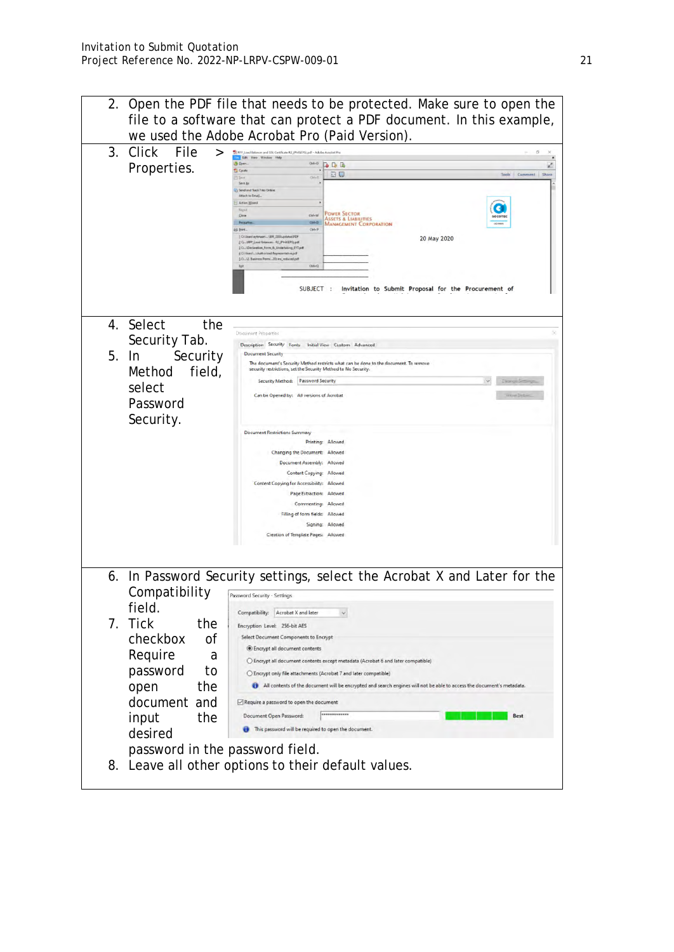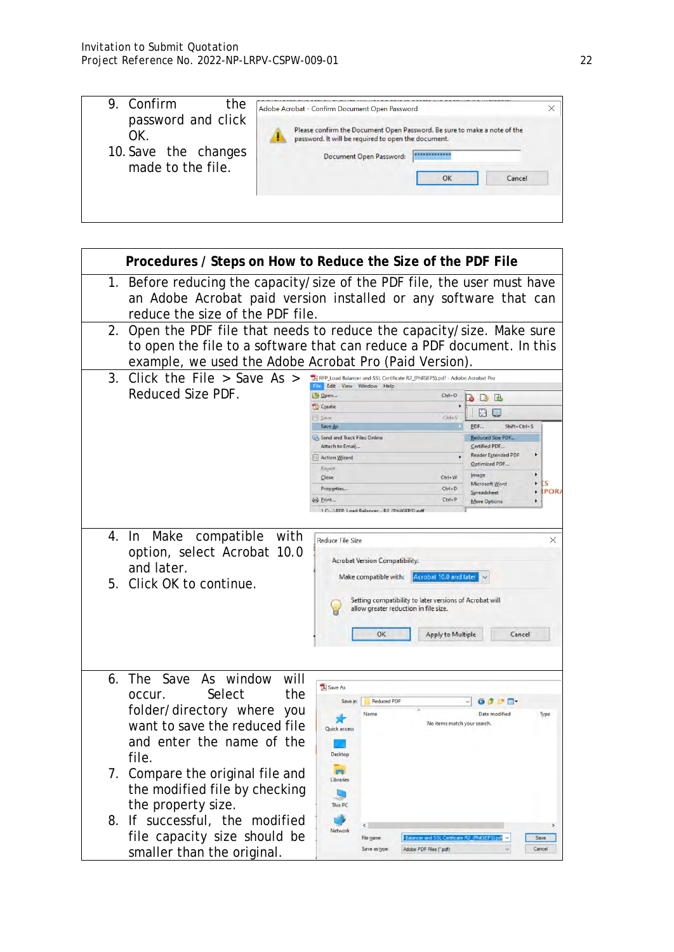| Confirm<br>Q.<br>the                                                  | Adobe Acrobat - Confirm Document Open Password                                                                                                                                                   |  |
|-----------------------------------------------------------------------|--------------------------------------------------------------------------------------------------------------------------------------------------------------------------------------------------|--|
| password and click<br>ОK<br>10. Save the changes<br>made to the file. | Please confirm the Document Open Password. Be sure to make a note of the<br>password. It will be required to open the document.<br>Document Open Password:<br>************<br>Cancel<br>$\alpha$ |  |

|    | Procedures / Steps on How to Reduce the Size of the PDF File                                                                                                                                            |                                                                                                                                                                                                                                                                                                                      |                                                                  |                                                                                                                                                                                                                                                   |
|----|---------------------------------------------------------------------------------------------------------------------------------------------------------------------------------------------------------|----------------------------------------------------------------------------------------------------------------------------------------------------------------------------------------------------------------------------------------------------------------------------------------------------------------------|------------------------------------------------------------------|---------------------------------------------------------------------------------------------------------------------------------------------------------------------------------------------------------------------------------------------------|
|    | 1. Before reducing the capacity/size of the PDF file, the user must have<br>an Adobe Acrobat paid version installed or any software that can<br>reduce the size of the PDF file.                        |                                                                                                                                                                                                                                                                                                                      |                                                                  |                                                                                                                                                                                                                                                   |
| 2. | Open the PDF file that needs to reduce the capacity/size. Make sure<br>to open the file to a software that can reduce a PDF document. In this<br>example, we used the Adobe Acrobat Pro (Paid Version). |                                                                                                                                                                                                                                                                                                                      |                                                                  |                                                                                                                                                                                                                                                   |
| 3. | Click the File $>$ Save As $>$<br>Reduced Size PDF.                                                                                                                                                     | RFP_Load Balancer and SSL Certificate R2_(PhilGEPS).pdf - Adobe Acrobat Pro<br>File Edit View Window Help<br>Open<br>Create<br>Save<br>Save As<br>Send and Track Files Online<br>Attach to Email<br><b>El Action Wizard</b><br>Reyert<br>$C$ lose<br>Properties<br>Print<br>1 C: \RFP_Load Balancer R2_(PhilGEPS).pd | $Ctrl + O$<br>$Ctri-S$<br>$Ctrl + W$<br>$Ctrl + D$<br>$Ctrl + P$ | 00<br>$\Box$<br>H<br>PDF<br>Shift+Ctrl+S<br>Reduced Size PDF.,<br>Certified PDF<br><b>Reader Extended PDF</b><br>Optimized PDF<br>٠<br>Image<br>$\blacktriangleright$<br>ES<br>Microsoft Word<br><b>IPORA</b><br>٠<br>Spreadsheet<br>More Options |
| 5. | 4. In Make<br>compatible with<br>option, select Acrobat 10.0<br>and later.<br>Click OK to continue.                                                                                                     | Reduce File Size<br><b>Acrobat Version Compatibility:</b><br>Make compatible with:<br>Setting compatibility to later versions of Acrobat will<br>allow greater reduction in file size.<br>OK                                                                                                                         | Acrobat 10.0 and later<br><b>Apply to Multiple</b>               | ×<br>Cancel                                                                                                                                                                                                                                       |
| 6. | Save<br>As window<br>The<br>will<br>the<br>Select<br>occur.<br>folder/directory where you<br>want to save the reduced file<br>and enter the name of the<br>file                                         | Save As<br><b>Reduced PDF</b><br>Save in:<br>Name<br>Quick access<br>Desktop                                                                                                                                                                                                                                         | No items match your search.                                      | 9 2 2 四、<br>Date modified<br>Type                                                                                                                                                                                                                 |
| 7. | Compare the original file and<br>the modified file by checking<br>the property size.<br>8. If successful, the<br>modified<br>file capacity size should be<br>smaller than the original.                 | Libraries<br>This PC<br>Network<br>File name:<br>Save as type:                                                                                                                                                                                                                                                       | Adobe PDF Files ("pdf)                                           | Save<br>Cancel                                                                                                                                                                                                                                    |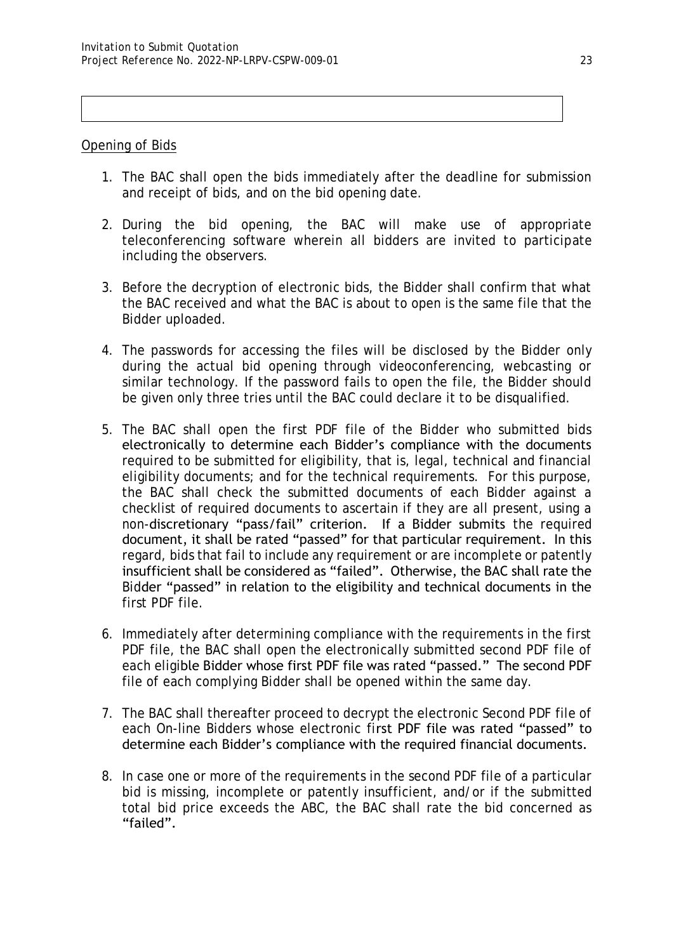#### Opening of Bids

- 1. The BAC shall open the bids immediately after the deadline for submission and receipt of bids, and on the bid opening date.
- 2. During the bid opening, the BAC will make use of appropriate teleconferencing software wherein all bidders are invited to participate including the observers.
- 3. Before the decryption of electronic bids, the Bidder shall confirm that what the BAC received and what the BAC is about to open is the same file that the Bidder uploaded.
- 4. The passwords for accessing the files will be disclosed by the Bidder only during the actual bid opening through videoconferencing, webcasting or similar technology. If the password fails to open the file, the Bidder should be given only three tries until the BAC could declare it to be disqualified.
- 5. The BAC shall open the first PDF file of the Bidder who submitted bids electronically to determine each Bidder's compliance with the documents required to be submitted for eligibility, that is, legal, technical and financial eligibility documents; and for the technical requirements. For this purpose, the BAC shall check the submitted documents of each Bidder against a checklist of required documents to ascertain if they are all present, using a non-discretionary "pass/fail" criterion. If a Bidder submits the required document, it shall be rated "passed" for that particular requirement. In this regard, bids that fail to include any requirement or are incomplete or patently insufficient shall be considered as "failed". Otherwise, the BAC shall rate the Bidder "passed" in relation to the eligibility and technical documents in the first PDF file.
- 6. Immediately after determining compliance with the requirements in the first PDF file, the BAC shall open the electronically submitted second PDF file of each eligible Bidder whose first PDF file was rated "passed." The second PDF file of each complying Bidder shall be opened within the same day.
- 7. The BAC shall thereafter proceed to decrypt the electronic Second PDF file of each On-line Bidders whose electronic first PDF file was rated "passed" to determine each Bidder's compliance with the required financial documents.
- 8. In case one or more of the requirements in the second PDF file of a particular bid is missing, incomplete or patently insufficient, and/or if the submitted total bid price exceeds the ABC, the BAC shall rate the bid concerned as "failed".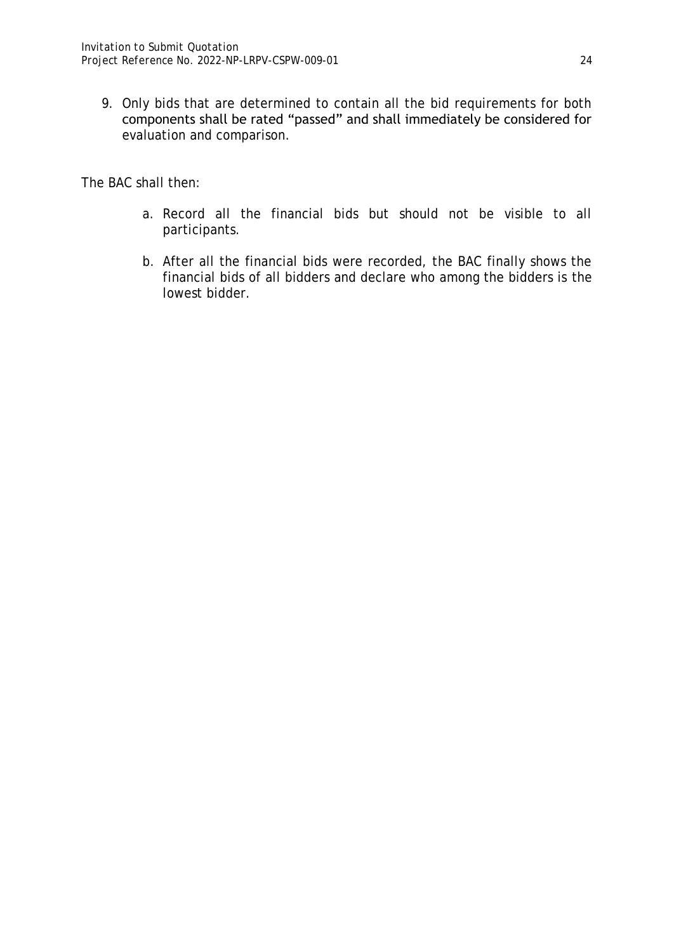9. Only bids that are determined to contain all the bid requirements for both components shall be rated "passed" and shall immediately be considered for evaluation and comparison.

The BAC shall then:

- a. Record all the financial bids but should not be visible to all participants.
- b. After all the financial bids were recorded, the BAC finally shows the financial bids of all bidders and declare who among the bidders is the lowest bidder.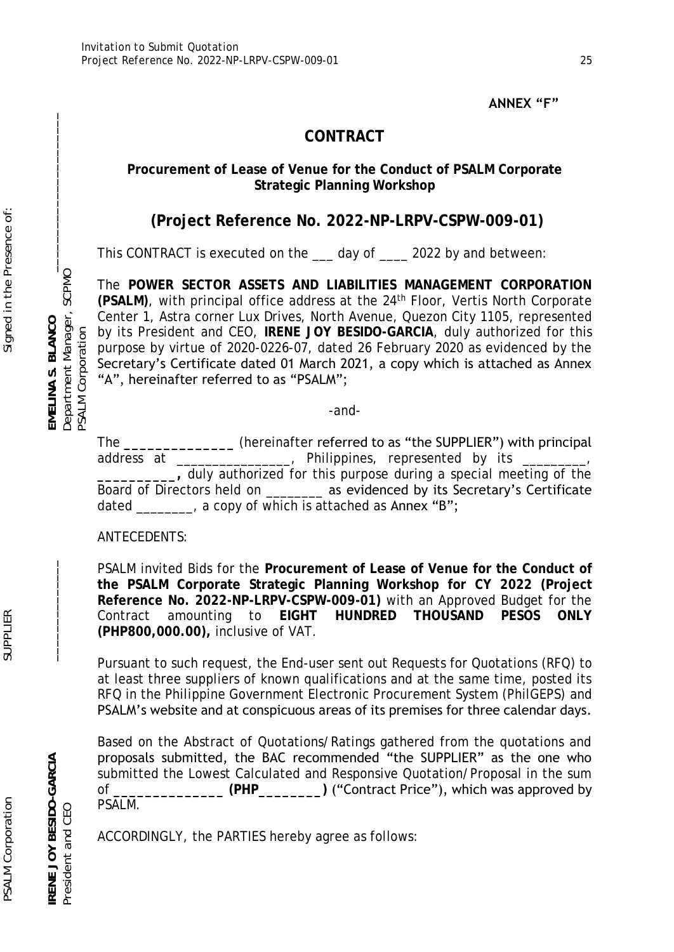## **ANNEX "F"**

# **CONTRACT**

## **Procurement of Lease of Venue for the Conduct of PSALM Corporate Strategic Planning Workshop**

# **(Project Reference No. 2022-NP-LRPV-CSPW-009-01)**

This CONTRACT is executed on the <u>ease</u> day of and between:

The **POWER SECTOR ASSETS AND LIABILITIES MANAGEMENT CORPORATION (PSALM)**, with principal office address at the 24th Floor, Vertis North Corporate Center 1, Astra corner Lux Drives, North Avenue, Quezon City 1105, represented by its President and CEO, **IRENE JOY BESIDO-GARCIA**, duly authorized for this purpose by virtue of 2020-0226-07, dated 26 February 2020 as evidenced by the Secretary's Certificate dated 01 March 2021, a copy which is attached as Annex "A", hereinafter referred to as "PSALM";

-and-

The **\_\_\_\_\_\_\_\_\_\_\_\_\_\_** (hereinafter referred to as "the SUPPLIER") with principal address at \_\_\_\_\_\_\_\_\_\_\_\_\_\_, Philippines, represented by its **\_\_\_\_\_\_\_\_\_\_,** duly authorized for this purpose during a special meeting of the Board of Directors held on \_\_\_\_\_\_\_\_ as evidenced by its Secretary's Certificate dated  $\frac{1}{\sqrt{1-\frac{1}{\sqrt{1-\frac{1}{\sqrt{1-\frac{1}{\sqrt{1-\frac{1}{\sqrt{1-\frac{1}{\sqrt{1-\frac{1}{\sqrt{1-\frac{1}{\sqrt{1-\frac{1}{\sqrt{1-\frac{1}{\sqrt{1-\frac{1}{\sqrt{1-\frac{1}{\sqrt{1-\frac{1}{\sqrt{1-\frac{1}{\sqrt{1-\frac{1}{\sqrt{1-\frac{1}{\sqrt{1-\frac{1}{\sqrt{1-\frac{1}{\sqrt{1-\frac{1}{\sqrt{1-\frac{1}{\sqrt{1-\frac{1}{\sqrt{1-\frac{1}{\sqrt{1-\frac{1}{\sqrt{1-\frac{1}{\sqrt$ 

## ANTECEDENTS:

PSALM invited Bids for the **Procurement of Lease of Venue for the Conduct of the PSALM Corporate Strategic Planning Workshop for CY 2022 (Project Reference No. 2022-NP-LRPV-CSPW-009-01)** with an Approved Budget for the Contract amounting to **EIGHT HUNDRED THOUSAND PESOS ONLY (PHP800,000.00),** inclusive of VAT.

Pursuant to such request, the End-user sent out Requests for Quotations (RFQ) to at least three suppliers of known qualifications and at the same time, posted its RFQ in the Philippine Government Electronic Procurement System (PhilGEPS) and PSALM's website and at conspicuous areas of its premises for three calendar days.

Based on the Abstract of Quotations/Ratings gathered from the quotations and proposals submitted, the BAC recommended "the SUPPLIER" as the one who submitted the Lowest Calculated and Responsive Quotation/Proposal in the sum of **\_\_\_\_\_\_\_\_\_\_\_\_\_\_ (PHP\_\_\_\_\_\_\_\_)** ("Contract Price"), which was approved by PSALM.

ACCORDINGLY, the PARTIES hereby agree as follows:

**IRENE JOY BESIDO-GARCIA \_\_\_\_\_\_\_\_\_\_\_\_\_\_ EMELINA S. BLANCO \_\_\_\_\_\_\_\_\_\_\_\_\_\_\_\_\_\_\_\_\_\_** President and CEO Department Manager, SCPMO

PSALM Corporation

Department Manager,<br>PSALM Corporation

SCPMO

RENE JOY BESIDO-GARCIA

President and CEO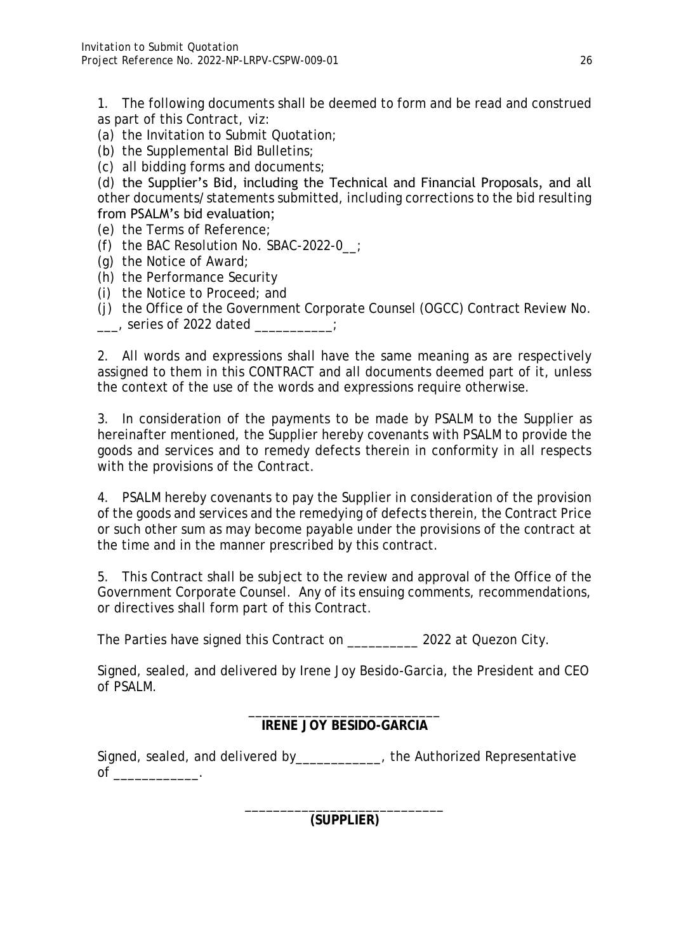1. The following documents shall be deemed to form and be read and construed as part of this Contract, *viz*:

- (a) the Invitation to Submit Quotation;
- (b) the Supplemental Bid Bulletins;
- (c) all bidding forms and documents;

(d) the Supplier's Bid, including the Technical and Financial Proposals, and all other documents/statements submitted, including corrections to the bid resulting from PSALM's bid evaluation;

- (e) the Terms of Reference;
- (f) the BAC Resolution No. SBAC-2022-0\_\_;
- (g) the Notice of Award;
- (h) the Performance Security
- (i) the Notice to Proceed; and
- (j) the Office of the Government Corporate Counsel (OGCC) Contract Review No. \_\_\_, series of 2022 dated \_\_\_\_\_\_\_\_\_\_\_;

2. All words and expressions shall have the same meaning as are respectively assigned to them in this CONTRACT and all documents deemed part of it, unless the context of the use of the words and expressions require otherwise.

3. In consideration of the payments to be made by PSALM to the Supplier as hereinafter mentioned, the Supplier hereby covenants with PSALM to provide the goods and services and to remedy defects therein in conformity in all respects with the provisions of the Contract.

4. PSALM hereby covenants to pay the Supplier in consideration of the provision of the goods and services and the remedying of defects therein, the Contract Price or such other sum as may become payable under the provisions of the contract at the time and in the manner prescribed by this contract.

5. This Contract shall be subject to the review and approval of the Office of the Government Corporate Counsel. Any of its ensuing comments, recommendations, or directives shall form part of this Contract.

The Parties have signed this Contract on 2022 at Quezon City.

Signed, sealed, and delivered by Irene Joy Besido-Garcia, the President and CEO of PSALM.

> \_\_\_\_\_\_\_\_\_\_\_\_\_\_\_\_\_\_\_\_\_\_\_\_\_\_\_ **IRENE JOY BESIDO-GARCIA**

Signed, sealed, and delivered by\_\_\_\_\_\_\_\_\_\_\_\_, the Authorized Representative  $\circ$  of

> \_\_\_\_\_\_\_\_\_\_\_\_\_\_\_\_\_\_\_\_\_\_\_\_\_\_\_\_ **(SUPPLIER)**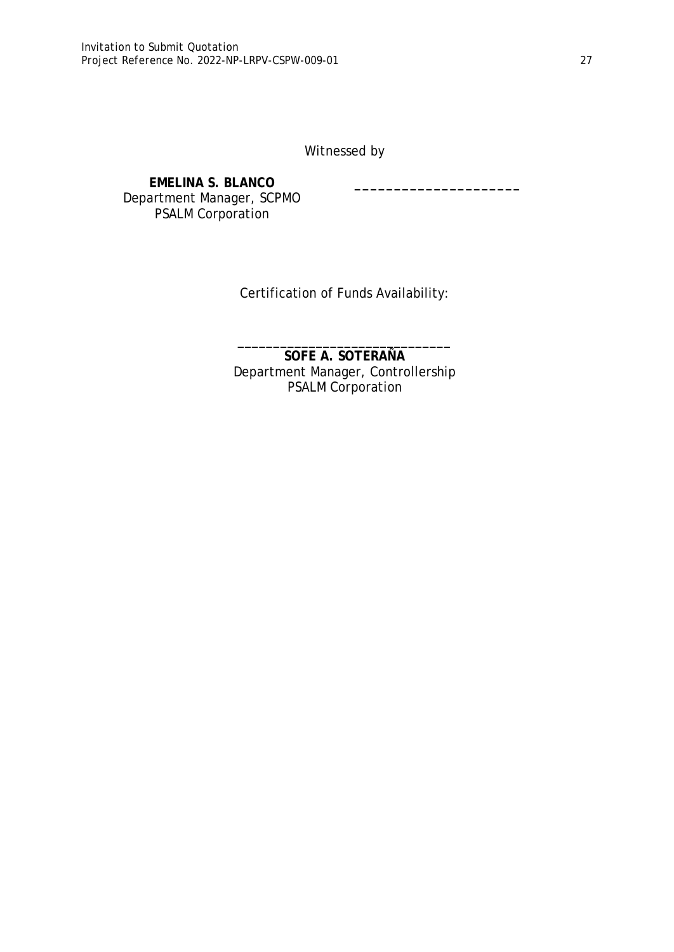Witnessed by

**\_\_\_\_\_\_\_\_\_\_\_\_\_\_\_\_\_\_\_\_\_**

#### **EMELINA S. BLANCO** Department Manager, SCPMO PSALM Corporation

Certification of Funds Availability:

\_\_\_\_\_\_\_\_\_\_\_\_\_\_\_\_\_\_\_\_\_\_\_\_\_\_\_\_\_\_ **SOFE A. SOTERAÑA** Department Manager, Controllership PSALM Corporation